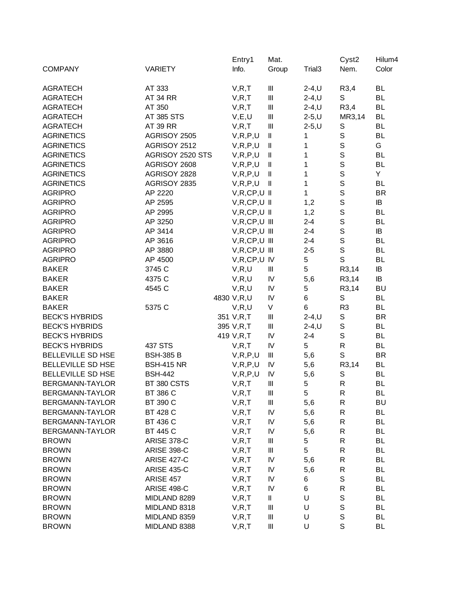|                          |                    | Entry1                   | Mat.                               |                    | Cyst <sub>2</sub>    | Hilum4    |
|--------------------------|--------------------|--------------------------|------------------------------------|--------------------|----------------------|-----------|
| <b>COMPANY</b>           | <b>VARIETY</b>     | Info.                    | Group                              | Trial <sub>3</sub> | Nem.                 | Color     |
| <b>AGRATECH</b>          | AT 333             | V, R, T                  | Ш                                  | $2-4, U$           | R3,4                 | <b>BL</b> |
| <b>AGRATECH</b>          | <b>AT 34 RR</b>    | V, R, T                  | $\ensuremath{\mathsf{III}}\xspace$ | $2-4, U$           | $\mathsf S$          | <b>BL</b> |
| <b>AGRATECH</b>          | AT 350             | V, R, T                  | $\mathbf{III}$                     | $2-4, U$           | R3,4                 | <b>BL</b> |
| <b>AGRATECH</b>          | AT 385 STS         | V, E, U                  | Ш                                  | $2 - 5, U$         | MR3,14               | <b>BL</b> |
| <b>AGRATECH</b>          | AT 39 RR           | V, R, T                  | $\mathbf{III}$                     | $2 - 5, U$         | S                    | <b>BL</b> |
| <b>AGRINETICS</b>        | AGRISOY 2505       | V, R, P, U               | $\mathsf{I}\mathsf{I}$             | 1                  | $\mathbb S$          | <b>BL</b> |
| <b>AGRINETICS</b>        | AGRISOY 2512       | V, R, P, U               | $\mathbf{I}$                       | 1                  | $\mathsf S$          | G         |
| <b>AGRINETICS</b>        | AGRISOY 2520 STS   | V, R, P, U               | $\mathbf{I}$                       | 1                  | $\mathsf S$          | <b>BL</b> |
| <b>AGRINETICS</b>        | AGRISOY 2608       | V, R, P, U               | $\mathbf l$                        | 1                  | $\mathsf S$          | <b>BL</b> |
| <b>AGRINETICS</b>        | AGRISOY 2828       | V, R, P, U               | $\mathbf l$                        | 1                  | $\mathsf S$          | Y         |
| <b>AGRINETICS</b>        | AGRISOY 2835       | V, R, P, U               | Ш                                  | 1                  | $\mathsf S$          | <b>BL</b> |
| <b>AGRIPRO</b>           | AP 2220            | $V, R, CP, U$ II         |                                    | 1                  | $\mathsf S$          | <b>BR</b> |
| <b>AGRIPRO</b>           | AP 2595            | $V, R, CP, U$ II         |                                    | 1,2                | $\mathsf S$          | IB        |
| <b>AGRIPRO</b>           | AP 2995            | $V, R, CP, U$ II         |                                    | 1,2                | $\mathbf S$          | <b>BL</b> |
| <b>AGRIPRO</b>           | AP 3250            | $V, R, CP, U$ III        |                                    | $2 - 4$            | $\mathbf S$          | <b>BL</b> |
| <b>AGRIPRO</b>           | AP 3414            | $V, R, CP, U$ III        |                                    | $2 - 4$            | $\mathsf S$          | IB        |
| <b>AGRIPRO</b>           | AP 3616            | $V, R, CP, U$ III        |                                    | $2 - 4$            | $\mathsf S$          | <b>BL</b> |
| <b>AGRIPRO</b>           | AP 3880            | $V, R, CP, U$ III        |                                    | $2 - 5$            | $\mathsf S$          | <b>BL</b> |
| <b>AGRIPRO</b>           | AP 4500            | V, R, CP, U, IV          |                                    | 5                  | $\mathsf{S}$         | <b>BL</b> |
| <b>BAKER</b>             | 3745 C             | V, R, U                  | Ш                                  | 5                  | R3,14                | IB        |
| <b>BAKER</b>             | 4375 C             | V, R, U                  | ${\sf IV}$                         | 5,6                | R3,14                | IB        |
| <b>BAKER</b>             | 4545 C             | V, R, U                  | ${\sf IV}$                         | 5                  | R3,14                | <b>BU</b> |
| <b>BAKER</b>             |                    | 4830 V,R,U               | $\mathsf{I}\mathsf{V}$             | 6                  | $\mathsf S$          | <b>BL</b> |
| <b>BAKER</b>             | 5375 C             | V, R, U                  | V                                  | $\,6\,$            | R <sub>3</sub>       | <b>BL</b> |
| <b>BECK'S HYBRIDS</b>    |                    | 351 V,R,T                | Ш                                  | $2-4, U$           | $\mathbb S$          | <b>BR</b> |
| <b>BECK'S HYBRIDS</b>    |                    | 395 V,R,T                | $\ensuremath{\mathsf{III}}\xspace$ | $2-4, U$           | $\mathsf S$          | <b>BL</b> |
| <b>BECK'S HYBRIDS</b>    |                    | 419 V,R,T                | IV                                 | $2 - 4$            | $\mathsf S$          | <b>BL</b> |
| <b>BECK'S HYBRIDS</b>    | 437 STS            | V, R, T                  | IV                                 | 5                  | $\mathsf{R}$         | <b>BL</b> |
| BELLEVILLE SD HSE        | <b>BSH-385 B</b>   | V, R, P, U               | Ш                                  | 5,6                | $\mathsf{S}$         | <b>BR</b> |
| BELLEVILLE SD HSE        | <b>BSH-415 NR</b>  |                          | IV                                 | 5,6                |                      | <b>BL</b> |
| <b>BELLEVILLE SD HSE</b> | <b>BSH-442</b>     | V, R, P, U<br>V, R, P, U | IV                                 |                    | R3,14<br>$\mathbb S$ | <b>BL</b> |
| BERGMANN-TAYLOR          | BT 380 CSTS        |                          | $\ensuremath{\mathsf{III}}\xspace$ | 5,6<br>5           | $\mathsf{R}$         | <b>BL</b> |
| BERGMANN-TAYLOR          |                    | V, R, T                  | $\ensuremath{\mathsf{III}}\xspace$ | 5                  | ${\sf R}$            | <b>BL</b> |
|                          | BT 386 C           | V, R, T                  |                                    |                    |                      |           |
| BERGMANN-TAYLOR          | BT 390 C           | V, R, T                  | Ш                                  | 5,6                | R                    | <b>BU</b> |
| BERGMANN-TAYLOR          | BT 428 C           | V, R, T                  | IV                                 | 5,6                | ${\sf R}$            | <b>BL</b> |
| BERGMANN-TAYLOR          | BT 436 C           | V, R, T                  | IV                                 | 5,6                | R                    | BL        |
| BERGMANN-TAYLOR          | BT 445 C           | V, R, T                  | IV                                 | 5,6                | $\mathsf R$          | <b>BL</b> |
| <b>BROWN</b>             | <b>ARISE 378-C</b> | V, R, T                  | $\begin{array}{c} \Pi \end{array}$ | 5                  | $\mathsf R$          | <b>BL</b> |
| <b>BROWN</b>             | <b>ARISE 398-C</b> | V, R, T                  | $\ensuremath{\mathsf{III}}\xspace$ | 5                  | $\mathsf R$          | <b>BL</b> |
| <b>BROWN</b>             | <b>ARISE 427-C</b> | V, R, T                  | IV                                 | 5,6                | $\mathsf R$          | <b>BL</b> |
| <b>BROWN</b>             | <b>ARISE 435-C</b> | V, R, T                  | IV                                 | 5,6                | R                    | <b>BL</b> |
| <b>BROWN</b>             | ARISE 457          | V, R, T                  | IV                                 | 6                  | S                    | <b>BL</b> |
| <b>BROWN</b>             | ARISE 498-C        | V, R, T                  | IV                                 | 6                  | ${\sf R}$            | <b>BL</b> |
| <b>BROWN</b>             | MIDLAND 8289       | V, R, T                  | Ш                                  | U                  | $\mathbb S$          | <b>BL</b> |
| <b>BROWN</b>             | MIDLAND 8318       | V, R, T                  | $\begin{array}{c} \Pi \end{array}$ | U                  | $\mathbb S$          | <b>BL</b> |
| <b>BROWN</b>             | MIDLAND 8359       | V, R, T                  | $\begin{array}{c} \Pi \end{array}$ | U                  | $\mathbb S$          | <b>BL</b> |
| <b>BROWN</b>             | MIDLAND 8388       | V, R, T                  | $\ensuremath{\mathsf{III}}\xspace$ | U                  | S                    | <b>BL</b> |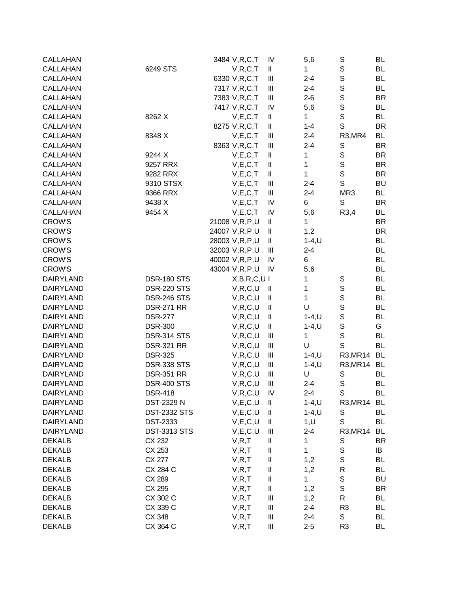| CALLAHAN         |                     | 3484 V, R, C, T  | IV                     | 5,6          | S              | BL        |
|------------------|---------------------|------------------|------------------------|--------------|----------------|-----------|
| <b>CALLAHAN</b>  | 6249 STS            | V, R, C, T       | Ш                      | 1            | $\mathbf S$    | <b>BL</b> |
| CALLAHAN         |                     | 6330 V, R, C, T  | $\mathbf{III}$         | $2 - 4$      | $\mathbb S$    | <b>BL</b> |
| <b>CALLAHAN</b>  |                     | 7317 V, R, C, T  | Ш                      | $2 - 4$      | $\mathbb S$    | BL        |
| <b>CALLAHAN</b>  |                     | 7383 V, R, C, T  | Ш                      | $2 - 6$      | $\mathbb S$    | <b>BR</b> |
| CALLAHAN         |                     | 7417 V, R, C, T  | IV                     | 5,6          | $\mathbb S$    | <b>BL</b> |
| CALLAHAN         | 8262 X              | V, E, C, T       | Ш                      | 1            | $\mathbf S$    | <b>BL</b> |
| <b>CALLAHAN</b>  |                     | 8275 V, R, C, T  | Ш                      | $1 - 4$      | $\mathbb S$    | <b>BR</b> |
| <b>CALLAHAN</b>  | 8348 X              | V, E, C, T       | Ш                      | $2 - 4$      | R3, MR4        | <b>BL</b> |
| <b>CALLAHAN</b>  |                     | 8363 V, R, C, T  | $\mathbf{  }$          | $2 - 4$      | S              | <b>BR</b> |
| CALLAHAN         | 9244 X              | V, E, C, T       | $\mathsf{I}\mathsf{I}$ | 1            | $\mathbb S$    | <b>BR</b> |
| <b>CALLAHAN</b>  | 9257 RRX            | V, E, C, T       | Ш                      | 1            | $\mathbf S$    | <b>BR</b> |
| CALLAHAN         | 9282 RRX            | V, E, C, T       | Ш                      | 1            | $\mathsf S$    | <b>BR</b> |
| CALLAHAN         | 9310 STSX           | V, E, C, T       | Ш                      | $2 - 4$      | S              | <b>BU</b> |
| CALLAHAN         | 9366 RRX            | V, E, C, T       | $\mathbf{III}$         | $2 - 4$      | MR3            | <b>BL</b> |
| <b>CALLAHAN</b>  | 9438 X              | V, E, C, T       | IV                     | $\,6$        | S              | <b>BR</b> |
| <b>CALLAHAN</b>  | 9454 X              | V, E, C, T       | IV                     | 5,6          | R3,4           | <b>BL</b> |
| <b>CROW'S</b>    |                     | 21008 V, R, P, U | $\mathsf{I}\mathsf{I}$ | 1            |                | <b>BR</b> |
| <b>CROW'S</b>    |                     | 24007 V, R, P, U | $\mathsf{I}\mathsf{I}$ | 1,2          |                | <b>BR</b> |
| <b>CROW'S</b>    |                     | 28003 V,R,P,U    | Ш                      | $1 - 4, U$   |                | BL        |
| <b>CROW'S</b>    |                     | 32003 V,R,P,U    | Ш                      | $2 - 4$      |                | BL        |
| <b>CROW'S</b>    |                     | 40002 V,R,P,U    | IV                     | 6            |                | <b>BL</b> |
| <b>CROW'S</b>    |                     | 43004 V, R, P, U | IV                     | 5,6          |                | <b>BL</b> |
| <b>DAIRYLAND</b> | <b>DSR-180 STS</b>  | X,B,R,C,U        |                        | 1            | S              | BL        |
| <b>DAIRYLAND</b> | <b>DSR-220 STS</b>  |                  |                        |              | $\mathbf S$    | <b>BL</b> |
| <b>DAIRYLAND</b> | <b>DSR-246 STS</b>  | V, R, C, U       | Ш                      | 1<br>1       | $\mathbb S$    | <b>BL</b> |
|                  |                     | V, R, C, U       | Ш                      | U            | $\mathbb S$    |           |
| <b>DAIRYLAND</b> | <b>DSR-271 RR</b>   | V, R, C, U       | Ш                      |              |                | <b>BL</b> |
| <b>DAIRYLAND</b> | <b>DSR-277</b>      | V, R, C, U       | Ш                      | $1 - 4, U$   | $\mathbb S$    | <b>BL</b> |
| <b>DAIRYLAND</b> | <b>DSR-300</b>      | V, R, C, U       | Ш                      | $1 - 4, U$   | $\mathbf S$    | G         |
| <b>DAIRYLAND</b> | DSR-314 STS         | V, R, C, U       | Ш                      | $\mathbf{1}$ | $\mathbb S$    | <b>BL</b> |
| <b>DAIRYLAND</b> | <b>DSR-321 RR</b>   | V, R, C, U       | Ш                      | U            | S              | <b>BL</b> |
| <b>DAIRYLAND</b> | <b>DSR-325</b>      | V, R, C, U       | Ш                      | $1-4, U$     | R3, MR14       | <b>BL</b> |
| <b>DAIRYLAND</b> | <b>DSR-338 STS</b>  | V, R, C, U       | Ш                      | $1 - 4, U$   | R3, MR14       | <b>BL</b> |
| <b>DAIRYLAND</b> | <b>DSR-351 RR</b>   | V, R, C, U       | Ш                      | U            | S              | <b>BL</b> |
| <b>DAIRYLAND</b> | <b>DSR-400 STS</b>  | V, R, C, U       | $\mathbf{III}$         | $2 - 4$      | S              | <b>BL</b> |
| DAIRYLAND        | <b>DSR-418</b>      | V, R, C, U       | IV                     | $2 - 4$      | S              | BL        |
| <b>DAIRYLAND</b> | DST-2329 N          | V, E, C, U       | Ш                      | $1 - 4, U$   | R3, MR14       | BL        |
| <b>DAIRYLAND</b> | <b>DST-2332 STS</b> | V, E, C, U       | Ш                      | $1 - 4, U$   | S              | BL        |
| <b>DAIRYLAND</b> | <b>DST-2333</b>     | V, E, C, U       | Ш                      | 1, U         | S              | BL        |
| <b>DAIRYLAND</b> | <b>DST-3313 STS</b> | V, E, C, U       | Ш                      | $2 - 4$      | R3, MR14       | BL        |
| <b>DEKALB</b>    | CX 232              | V, R, T          | $\mathsf{I}\mathsf{I}$ | 1            | S              | <b>BR</b> |
| <b>DEKALB</b>    | CX 253              | V, R, T          | $\mathsf{I}\mathsf{I}$ | $\mathbf 1$  | $\mathbf S$    | IB        |
| <b>DEKALB</b>    | CX 277              | V, R, T          | $\mathsf{I}\mathsf{I}$ | 1,2          | $\mathbb S$    | <b>BL</b> |
| <b>DEKALB</b>    | CX 284 C            | V, R, T          | $\mathsf{I}\mathsf{I}$ | 1,2          | R              | BL        |
| <b>DEKALB</b>    | CX 289              | V, R, T          | Ш                      | $\mathbf 1$  | $\mathbf S$    | <b>BU</b> |
| <b>DEKALB</b>    | CX 295              | V, R, T          | $\mathsf{I}\mathsf{I}$ | 1,2          | $\mathbf S$    | <b>BR</b> |
| <b>DEKALB</b>    | CX 302 C            | V, R, T          | $\parallel \parallel$  | 1,2          | R              | BL        |
| <b>DEKALB</b>    | CX 339 C            | V, R, T          | $\parallel \parallel$  | $2 - 4$      | R <sub>3</sub> | BL        |
| <b>DEKALB</b>    | CX 348              | V, R, T          | $\parallel \parallel$  | $2 - 4$      | S              | BL        |
| <b>DEKALB</b>    | CX 364 C            | V, R, T          | $\parallel \parallel$  | $2 - 5$      | R <sub>3</sub> | <b>BL</b> |
|                  |                     |                  |                        |              |                |           |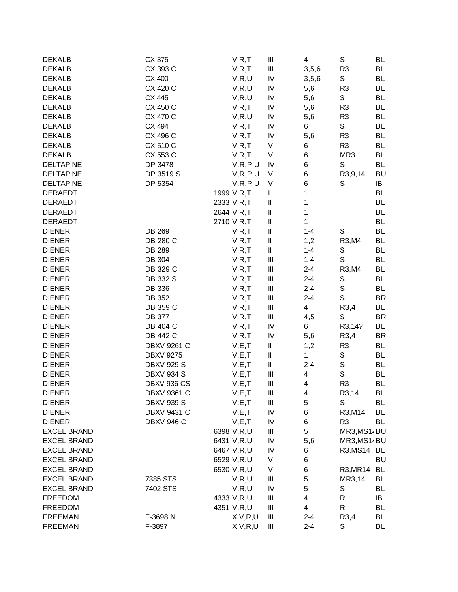| <b>DEKALB</b>      | CX 375             | V, R, T      | Ш                                     | 4            | ${\mathsf S}$            | BL        |
|--------------------|--------------------|--------------|---------------------------------------|--------------|--------------------------|-----------|
| <b>DEKALB</b>      | CX 393 C           | V, R, T      | $\ensuremath{\mathsf{III}}\xspace$    | 3, 5, 6      | R <sub>3</sub>           | <b>BL</b> |
| <b>DEKALB</b>      | CX 400             | V, R, U      | IV                                    | 3, 5, 6      | S                        | BL        |
| <b>DEKALB</b>      | CX 420 C           | V, R, U      | IV                                    | 5,6          | R <sub>3</sub>           | BL        |
| <b>DEKALB</b>      | CX 445             | V, R, U      | IV                                    | 5,6          | $\mathbb S$              | BL        |
| <b>DEKALB</b>      | CX 450 C           | V, R, T      | IV                                    | 5,6          | R <sub>3</sub>           | <b>BL</b> |
| <b>DEKALB</b>      | CX 470 C           | V, R, U      | IV                                    | 5,6          | R <sub>3</sub>           | <b>BL</b> |
| <b>DEKALB</b>      | CX 494             | V, R, T      | IV                                    | 6            | S                        | <b>BL</b> |
| <b>DEKALB</b>      | CX 496 C           | V, R, T      | IV                                    | 5,6          | R <sub>3</sub>           | <b>BL</b> |
| <b>DEKALB</b>      | CX 510 C           | V, R, T      | V                                     | 6            | R <sub>3</sub>           | <b>BL</b> |
| <b>DEKALB</b>      | CX 553 C           | V, R, T      | V                                     | 6            | MR3                      | <b>BL</b> |
| <b>DELTAPINE</b>   | DP 3478            | V, R, P, U   | IV                                    | 6            | S                        | <b>BL</b> |
| <b>DELTAPINE</b>   | DP 3519 S          | V, R, P, U   | V                                     | 6            | R3,9,14                  | <b>BU</b> |
| <b>DELTAPINE</b>   | DP 5354            | V, R, P, U   | V                                     | 6            | S                        | IB        |
| <b>DERAEDT</b>     |                    | 1999 V, R, T | T                                     | 1            |                          | <b>BL</b> |
| <b>DERAEDT</b>     |                    | 2333 V, R, T | II                                    | 1            |                          | BL        |
| <b>DERAEDT</b>     |                    | 2644 V,R,T   | $\mathsf{I}\mathsf{I}$                | 1            |                          | <b>BL</b> |
| <b>DERAEDT</b>     |                    | 2710 V,R,T   | $\mathsf{I}\mathsf{I}$                | $\mathbf{1}$ |                          | <b>BL</b> |
| <b>DIENER</b>      | DB 269             | V, R, T      | II                                    | $1 - 4$      | S                        | <b>BL</b> |
| <b>DIENER</b>      | DB 280 C           | V, R, T      | Ш                                     | 1,2          | R3, M4                   | BL        |
| <b>DIENER</b>      | DB 289             | V, R, T      | Ш                                     | $1 - 4$      | S                        | BL        |
| <b>DIENER</b>      | DB 304             | V, R, T      | $\begin{array}{c} \Pi \end{array}$    | $1 - 4$      | S                        | <b>BL</b> |
| <b>DIENER</b>      | DB 329 C           | V, R, T      | $\ensuremath{\mathsf{III}}\xspace$    | $2 - 4$      | R3, M4                   | <b>BL</b> |
| <b>DIENER</b>      | DB 332 S           | V, R, T      | $\begin{array}{c} \hline \end{array}$ | $2 - 4$      | $\mathbb S$              | BL        |
| <b>DIENER</b>      | DB 336             |              |                                       | $2 - 4$      | ${\mathsf S}$            | BL        |
|                    |                    | V, R, T      | Ш                                     |              | $\mathsf S$              |           |
| <b>DIENER</b>      | DB 352             | V, R, T      | $\begin{array}{c} \hline \end{array}$ | $2 - 4$      |                          | <b>BR</b> |
| <b>DIENER</b>      | DB 359 C           | V, R, T      | $\ensuremath{\mathsf{III}}\xspace$    | 4            | R3,4                     | <b>BL</b> |
| <b>DIENER</b>      | <b>DB 377</b>      | V, R, T      | $\begin{array}{c} \Pi \end{array}$    | 4,5          | S                        | <b>BR</b> |
| <b>DIENER</b>      | DB 404 C           | V, R, T      | IV                                    | 6            | R3,14?                   | <b>BL</b> |
| <b>DIENER</b>      | <b>DB 442 C</b>    | V, R, T      | IV                                    | 5,6          | R3,4                     | <b>BR</b> |
| <b>DIENER</b>      | <b>DBXV 9261 C</b> | V, E, T      | Ш                                     | 1,2          | R <sub>3</sub>           | <b>BL</b> |
| <b>DIENER</b>      | <b>DBXV 9275</b>   | V, E, T      | Ш                                     | $\mathbf{1}$ | S                        | BL        |
| <b>DIENER</b>      | <b>DBXV 929 S</b>  | V, E, T      | $\mathsf{I}\mathsf{I}$                | $2 - 4$      | $\mathsf S$              | BL        |
| <b>DIENER</b>      | <b>DBXV 934 S</b>  | V, E, T      | $\begin{array}{c} \hline \end{array}$ | 4            | $\mathsf S$              | BL        |
| <b>DIENER</b>      | DBXV 936 CS        | V, E, T      | $\begin{array}{c} \hline \end{array}$ | 4            | R <sub>3</sub>           | <b>BL</b> |
| <b>DIENER</b>      | DBXV 9361 C        | V, E, T      | Ш                                     | 4            | R <sub>3</sub> ,14       | BL        |
| <b>DIENER</b>      | <b>DBXV 939 S</b>  | V, E, T      | $\begin{array}{c} \Pi \end{array}$    | 5            | S                        | <b>BL</b> |
| <b>DIENER</b>      | <b>DBXV 9431 C</b> | V, E, T      | IV                                    | 6            | R3, M14                  | <b>BL</b> |
| <b>DIENER</b>      | <b>DBXV 946 C</b>  | V, E, T      | IV                                    | 6            | R <sub>3</sub>           | <b>BL</b> |
| <b>EXCEL BRAND</b> |                    | 6398 V,R,U   | $\begin{array}{c} \Pi \end{array}$    | 5            | MR3, MS14 BU             |           |
| <b>EXCEL BRAND</b> |                    | 6431 V,R,U   | IV                                    | 5,6          | MR3, MS1 <sup>2</sup> BU |           |
| <b>EXCEL BRAND</b> |                    | 6467 V,R,U   | IV                                    | 6            | R3, MS14                 | BL        |
| <b>EXCEL BRAND</b> |                    | 6529 V,R,U   | V                                     | 6            |                          | <b>BU</b> |
| <b>EXCEL BRAND</b> |                    | 6530 V,R,U   | V                                     | 6            | R3, MR14                 | BL        |
| <b>EXCEL BRAND</b> | 7385 STS           | V, R, U      | $\begin{array}{c} \Pi \end{array}$    | 5            | MR3,14                   | <b>BL</b> |
| <b>EXCEL BRAND</b> | 7402 STS           | V, R, U      | IV                                    | 5            | S                        | BL        |
| <b>FREEDOM</b>     |                    | 4333 V, R, U | $\begin{array}{c} \Pi \end{array}$    | 4            | R                        | IB        |
| <b>FREEDOM</b>     |                    | 4351 V,R,U   | $\begin{array}{c} \hline \end{array}$ | 4            | $\mathsf{R}$             | BL        |
| <b>FREEMAN</b>     | F-3698 N           | X, V, R, U   | Ш                                     | $2 - 4$      | R3,4                     | <b>BL</b> |
| <b>FREEMAN</b>     | F-3897             | X, V, R, U   | Ш                                     | $2 - 4$      | S                        | <b>BL</b> |
|                    |                    |              |                                       |              |                          |           |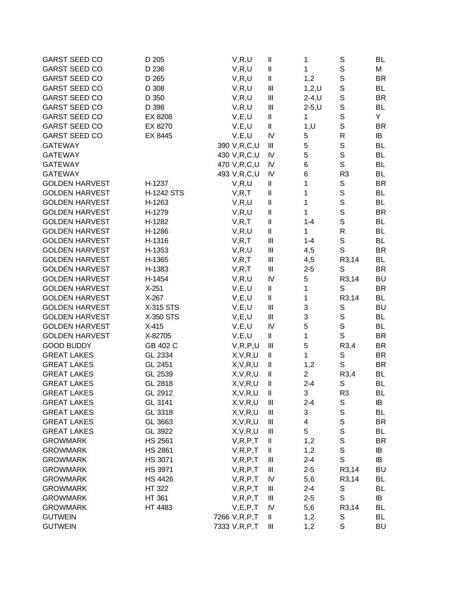| <b>GARST SEED CO</b>  | D 205          | V, R, U         | $\mathsf{I}\mathsf{I}$                | 1              | S              | <b>BL</b> |
|-----------------------|----------------|-----------------|---------------------------------------|----------------|----------------|-----------|
| <b>GARST SEED CO</b>  | D 236          | V, R, U         | $\mathsf{I}\mathsf{I}$                | 1              | $\mathbb S$    | М         |
| <b>GARST SEED CO</b>  | D 265          | V, R, U         | II                                    | 1,2            | $\mathsf S$    | <b>BR</b> |
| <b>GARST SEED CO</b>  | D 308          | V, R, U         | $\begin{array}{c} \hline \end{array}$ | 1, 2, U        | $\mathbb S$    | BL        |
| <b>GARST SEED CO</b>  | D 350          | V, R, U         | Ш                                     | $2-4, U$       | $\mathbb S$    | <b>BR</b> |
| <b>GARST SEED CO</b>  | D 398          | V, R, U         | Ш                                     | $2-5, U$       | $\mathbb S$    | BL        |
| <b>GARST SEED CO</b>  | EX 8208        | V, E, U         | $\mathsf{I}\mathsf{I}$                | 1              | S              | Y         |
| <b>GARST SEED CO</b>  | EX 8270        | V, E, U         | $\mathsf{I}\mathsf{I}$                | 1, U           | $\mathbb S$    | <b>BR</b> |
| <b>GARST SEED CO</b>  | EX 8445        | V, E, U         | IV                                    | 5              | ${\sf R}$      | IB        |
| <b>GATEWAY</b>        |                | 390 V,R,C,U     | $\begin{array}{c} \hline \end{array}$ | 5              | $\mathbf S$    | BL        |
| <b>GATEWAY</b>        |                | 430 V, R, C, U  | IV                                    | 5              | $\mathsf S$    | BL        |
| <b>GATEWAY</b>        |                | 470 V,R,C,U     | IV                                    | 6              | $\mathsf{S}$   | BL        |
| <b>GATEWAY</b>        |                | 493 V, R, C, U  | IV                                    | 6              | R <sub>3</sub> | <b>BL</b> |
| <b>GOLDEN HARVEST</b> | H-1237         | V, R, U         | Ш                                     | 1              | $\mathbb S$    | <b>BR</b> |
| <b>GOLDEN HARVEST</b> | H-1242 STS     | V, R, T         | II                                    | 1              | $\mathsf S$    | <b>BL</b> |
| <b>GOLDEN HARVEST</b> | H-1263         | V, R, U         | II                                    | 1              | $\mathbf S$    | <b>BL</b> |
| <b>GOLDEN HARVEST</b> | H-1279         | V, R, U         | $\mathsf{I}\mathsf{I}$                | 1              | $\mathsf S$    | <b>BR</b> |
| <b>GOLDEN HARVEST</b> | H-1282         | V, R, T         | Ш                                     | $1 - 4$        | $\mathsf{S}$   | <b>BL</b> |
| <b>GOLDEN HARVEST</b> | H-1286         | V, R, U         | Ш                                     | 1              | $\mathsf R$    | <b>BL</b> |
| <b>GOLDEN HARVEST</b> | H-1316         | V, R, T         | $\begin{array}{c} \hline \end{array}$ | $1 - 4$        | $\mathbf S$    | <b>BL</b> |
| <b>GOLDEN HARVEST</b> | H-1353         | V, R, U         | $\begin{array}{c} \Pi \end{array}$    | 4,5            | S              | <b>BR</b> |
| <b>GOLDEN HARVEST</b> | H-1365         | V, R, T         | $\begin{array}{c} \Pi \end{array}$    | 4,5            | R3,14          | <b>BL</b> |
| <b>GOLDEN HARVEST</b> | H-1383         | V, R, T         | $\begin{array}{c} \Pi \end{array}$    | $2 - 5$        | S              | <b>BR</b> |
| <b>GOLDEN HARVEST</b> | H-1454         | V, R, U         | IV                                    | 5              | R3,14          | <b>BU</b> |
| <b>GOLDEN HARVEST</b> | $X-251$        | V, E, U         | $\mathsf{I}\mathsf{I}$                | 1              | S              | <b>BR</b> |
| <b>GOLDEN HARVEST</b> | $X-267$        | V, E, U         | Ш                                     | 1              | R3,14          | BL        |
| <b>GOLDEN HARVEST</b> | X-315 STS      | V, E, U         | $\mathbf{III}$                        | 3              | S              | <b>BU</b> |
| <b>GOLDEN HARVEST</b> | X-350 STS      | V, E, U         | $\begin{array}{c} \Pi \end{array}$    | 3              | $\mathbb S$    | BL        |
| <b>GOLDEN HARVEST</b> | $X-415$        | V, E, U         | IV                                    | 5              | $\mathbb S$    | <b>BL</b> |
| <b>GOLDEN HARVEST</b> | X-82705        | V, E, U         | Ш                                     | 1              | $\mathsf{S}$   | <b>BR</b> |
| <b>GOOD BUDDY</b>     | GB 402 C       | V, R, P, U      | $\begin{array}{c} \hline \end{array}$ | 5              | R3,4           | <b>BR</b> |
| <b>GREAT LAKES</b>    | GL 2334        | X, V, R, U      | $\mathsf{I}\mathsf{I}$                | 1              | S              | <b>BR</b> |
| <b>GREAT LAKES</b>    | GL 2451        | X, V, R, U      | $\mathsf{I}\mathsf{I}$                | 1,2            | S              | <b>BR</b> |
| <b>GREAT LAKES</b>    | GL 2539        | X, V, R, U      | II                                    | $\overline{c}$ | R3,4           | BL        |
| <b>GREAT LAKES</b>    | GL 2818        | X, V, R, U      | II                                    | $2 - 4$        | S              | BL        |
| <b>GREAT LAKES</b>    | GL 2912        | X, V, R, U      | Ш                                     | 3              | R <sub>3</sub> | BL        |
| <b>GREAT LAKES</b>    | GL 3141        | X, V, R, U      | $\mathbf{III}$                        | $2 - 4$        | S              | IB        |
| <b>GREAT LAKES</b>    | GL 3318        | X, V, R, U      | $\begin{array}{c} \hline \end{array}$ | 3              | $\mathbb S$    | <b>BL</b> |
| <b>GREAT LAKES</b>    | GL 3663        | X, V, R, U      | $\mathop{  }\nolimits$                | 4              | $\mathbb S$    | <b>BR</b> |
| <b>GREAT LAKES</b>    | GL 3922        | X, V, R, U      | $\mathop{  }\nolimits$                | 5              | $\mathbb S$    | <b>BL</b> |
| <b>GROWMARK</b>       | <b>HS 2561</b> | V, R, P, T      | $\mathsf{I}\mathsf{I}$                | 1,2            | $\mathbf S$    | <b>BR</b> |
| <b>GROWMARK</b>       | <b>HS 2861</b> | V, R, P, T      | Ш                                     | 1,2            | $\mathbf S$    | IB        |
| <b>GROWMARK</b>       | HS 3071        | V, R, P, T      | $\begin{array}{c} \hline \end{array}$ | $2 - 4$        | $\mathsf S$    | IB        |
| <b>GROWMARK</b>       | <b>HS 3971</b> | V, R, P, T      | $\begin{array}{c} \Pi \end{array}$    | $2 - 5$        | R3,14          | <b>BU</b> |
| <b>GROWMARK</b>       | <b>HS 4426</b> | V, R, P, T      | IV                                    | 5,6            | R3,14          | <b>BL</b> |
| <b>GROWMARK</b>       | HT 322         | V, R, P, T      | $\begin{array}{c} \Pi \end{array}$    | $2 - 4$        | S              | <b>BL</b> |
| <b>GROWMARK</b>       | HT 361         | V, R, P, T      | $\begin{array}{c} \Pi \end{array}$    | $2 - 5$        | $\mathbf S$    | IB        |
| <b>GROWMARK</b>       | HT 4483        | V, E, P, T      | IV                                    | 5,6            | R3,14          | <b>BL</b> |
| <b>GUTWEIN</b>        |                | 7266 V, R, P, T | $\mathsf{I}\mathsf{I}$                | 1,2            | S              | <b>BL</b> |
| <b>GUTWEIN</b>        |                | 7333 V, R, P, T | Ш                                     | 1,2            | $\mathbf S$    | <b>BU</b> |
|                       |                |                 |                                       |                |                |           |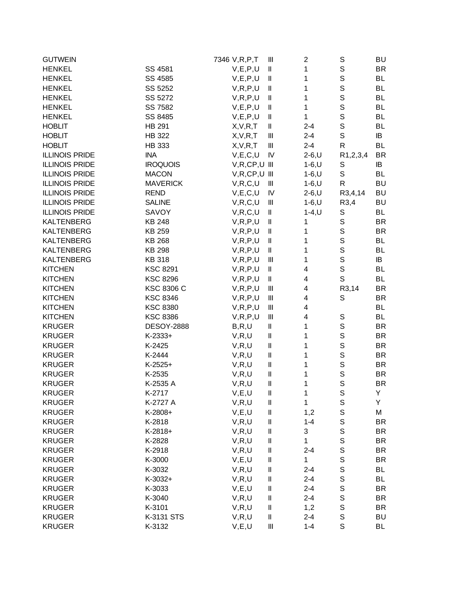| <b>GUTWEIN</b>        |                   | 7346 V, R, P, T   | Ш                                         | $\overline{2}$ | S              | BU        |
|-----------------------|-------------------|-------------------|-------------------------------------------|----------------|----------------|-----------|
| <b>HENKEL</b>         | SS 4581           | V, E, P, U        | $\, \parallel$                            | 1              | $\mathbf S$    | BR        |
| <b>HENKEL</b>         | SS 4585           | V, E, P, U        | $\, \parallel$                            | 1              | $\mathsf S$    | BL        |
| <b>HENKEL</b>         | SS 5252           | V, R, P, U        | $\, \parallel$                            | 1              | $\mathsf S$    | <b>BL</b> |
| <b>HENKEL</b>         | SS 5272           | V, R, P, U        | $\, \parallel$                            | 1              | $\mathsf S$    | BL        |
| <b>HENKEL</b>         | SS 7582           | V, E, P, U        | Ш                                         | 1              | S              | <b>BL</b> |
| <b>HENKEL</b>         | SS 8485           | V, E, P, U        | $\, \parallel$                            | 1              | $\mathbb S$    | <b>BL</b> |
| <b>HOBLIT</b>         | HB 291            | X, V, R, T        | $\, \parallel$                            | $2 - 4$        | $\mathsf S$    | <b>BL</b> |
| <b>HOBLIT</b>         | <b>HB 322</b>     | X, V, R, T        | $\mathop{1\hskip-2.5pt {\rm l}}\nolimits$ | $2 - 4$        | $\mathsf S$    | IB        |
| <b>HOBLIT</b>         | <b>HB 333</b>     | X, V, R, T        | Ш                                         | $2 - 4$        | ${\sf R}$      | BL        |
| <b>ILLINOIS PRIDE</b> | <b>INA</b>        | V, E, C, U        | IV                                        | $2-6, U$       | R1,2,3,4       | <b>BR</b> |
| <b>ILLINOIS PRIDE</b> | <b>IROQUOIS</b>   | $V, R, CP, U$ III |                                           | $1 - 6, U$     | S              | IB        |
| <b>ILLINOIS PRIDE</b> | <b>MACON</b>      | $V, R, CP, U$ III |                                           | $1 - 6, U$     | $\mathsf S$    | BL        |
| <b>ILLINOIS PRIDE</b> | <b>MAVERICK</b>   | V, R, C, U        | Ш                                         | $1 - 6, U$     | $\mathsf{R}$   | <b>BU</b> |
| <b>ILLINOIS PRIDE</b> | <b>REND</b>       | V, E, C, U        | IV                                        | $2 - 6, U$     | R3,4,14        | <b>BU</b> |
| <b>ILLINOIS PRIDE</b> | <b>SALINE</b>     | V, R, C, U        | $\ensuremath{\mathsf{III}}\xspace$        | $1 - 6, U$     | R3,4           | <b>BU</b> |
| <b>ILLINOIS PRIDE</b> | SAVOY             | V, R, C, U        | $\, \parallel$                            | $1 - 4, U$     | $\mathbb S$    | <b>BL</b> |
| <b>KALTENBERG</b>     | <b>KB 248</b>     | V, R, P, U        | $\, \parallel$                            | 1              | $\mathbb S$    | <b>BR</b> |
| <b>KALTENBERG</b>     | KB 259            | V, R, P, U        | $\, \parallel$                            | 1              | $\mathsf S$    | <b>BR</b> |
| <b>KALTENBERG</b>     | <b>KB 268</b>     | V, R, P, U        | $\, \parallel$                            | 1              | $\mathsf S$    | <b>BL</b> |
| <b>KALTENBERG</b>     | <b>KB 298</b>     | V, R, P, U        | $\, \parallel$                            | 1              | $\mathsf{s}$   | BL        |
| <b>KALTENBERG</b>     | <b>KB 318</b>     | V, R, P, U        | Ш                                         | 1              | $\mbox{\bf S}$ | IB        |
| <b>KITCHEN</b>        | <b>KSC 8291</b>   | V, R, P, U        | $\, \parallel$                            | 4              | $\mathbb S$    | <b>BL</b> |
| <b>KITCHEN</b>        | <b>KSC 8296</b>   | V, R, P, U        | $\, \parallel$                            | 4              | $\mathsf S$    | BL        |
| <b>KITCHEN</b>        | <b>KSC 8306 C</b> | V, R, P, U        | $\mathop{1\hskip-2.5pt {\rm l}}\nolimits$ | 4              | R3,14          | <b>BR</b> |
| <b>KITCHEN</b>        | <b>KSC 8346</b>   | V, R, P, U        | Ш                                         | 4              | S              | <b>BR</b> |
| <b>KITCHEN</b>        | <b>KSC 8380</b>   | V, R, P, U        | $\begin{array}{c} \hline \end{array}$     | 4              |                | BL        |
| <b>KITCHEN</b>        | <b>KSC 8386</b>   | V, R, P, U        | $\parallel$                               | 4              | $\mathbb S$    | BL        |
| <b>KRUGER</b>         | <b>DESOY-2888</b> | B, R, U           | $\mathsf{I}\mathsf{I}$                    | 1              | $\mathbb S$    | <b>BR</b> |
| <b>KRUGER</b>         | $K-2333+$         | V, R, U           | $\, \parallel$                            | 1              | $\mathbf S$    | <b>BR</b> |
| <b>KRUGER</b>         | K-2425            | V, R, U           | $\, \parallel$                            | 1              | $\mathbf S$    | <b>BR</b> |
| <b>KRUGER</b>         | K-2444            | V, R, U           | $\ensuremath{\mathsf{II}}$                | 1              | $\mathsf S$    | <b>BR</b> |
| <b>KRUGER</b>         | $K-2525+$         | V, R, U           | $\mathsf{I}\mathsf{I}$                    | 1              | $\mathbb S$    | <b>BR</b> |
| <b>KRUGER</b>         | K-2535            | V, R, U           | $\mathsf{I}\mathsf{I}$                    | 1              | $\mathsf S$    | <b>BR</b> |
| <b>KRUGER</b>         | K-2535 A          | V, R, U           | $\mathsf{I}\mathsf{I}$                    | 1              | $\mathsf{S}$   | <b>BR</b> |
| KRUGER                | K-2717            | V,E,U             | Ш                                         | 1              | S              | Y         |
| <b>KRUGER</b>         | K-2727 A          | V, R, U           | Ш                                         | 1              | $\mathbb S$    | Υ         |
| <b>KRUGER</b>         | K-2808+           | V, E, U           | Ш                                         | 1,2            | $\mathsf S$    | M         |
| <b>KRUGER</b>         | K-2818            | V, R, U           | Ш                                         | $1 - 4$        | $\mathbf S$    | <b>BR</b> |
| <b>KRUGER</b>         | $K-2818+$         | V, R, U           | $\sf II$                                  | 3              | $\mathsf S$    | <b>BR</b> |
| <b>KRUGER</b>         | K-2828            | V, R, U           | $\mathsf{I}\mathsf{I}$                    | 1              | $\mathsf S$    | BR        |
| <b>KRUGER</b>         | K-2918            | V, R, U           | $\sf II$                                  | $2 - 4$        | $\mathsf S$    | <b>BR</b> |
| <b>KRUGER</b>         | K-3000            | V, E, U           | $\sf II$                                  | 1              | $\mathsf S$    | <b>BR</b> |
| <b>KRUGER</b>         | K-3032            | V, R, U           | $\sf II$                                  | $2 - 4$        | $\mathsf S$    | BL        |
| <b>KRUGER</b>         | $K-3032+$         | V, R, U           | $\sf II$                                  | $2 - 4$        | $\mathsf S$    | <b>BL</b> |
| <b>KRUGER</b>         | K-3033            | V, E, U           | $\mathsf{I}\mathsf{I}$                    | $2 - 4$        | $\mathbb S$    | <b>BR</b> |
| <b>KRUGER</b>         | K-3040            | V, R, U           | Ш                                         | $2 - 4$        | $\mathbf S$    | <b>BR</b> |
| <b>KRUGER</b>         | K-3101            | V, R, U           | $\sf II$                                  | 1,2            | $\mathsf S$    | <b>BR</b> |
| <b>KRUGER</b>         | K-3131 STS        | V, R, U           | Ш                                         | $2 - 4$        | $\mathbf S$    | BU        |
| <b>KRUGER</b>         | K-3132            | V, E, U           | Ш                                         | $1 - 4$        | $\mathsf S$    | BL        |
|                       |                   |                   |                                           |                |                |           |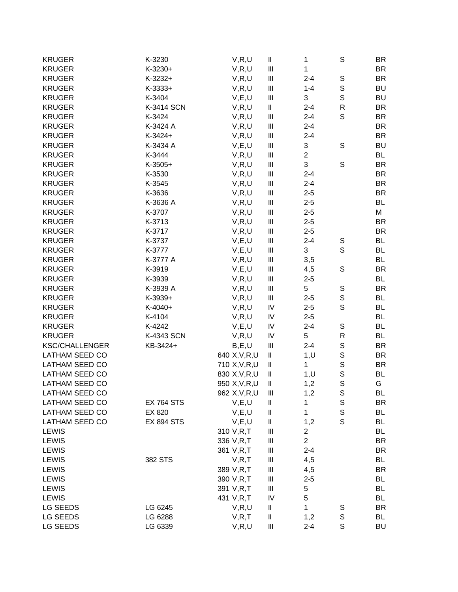| 1<br><b>KRUGER</b><br>K-3230+<br>V, R, U<br>$\ensuremath{\mathsf{III}}\xspace$<br><b>BR</b><br>$\mathbb S$<br><b>KRUGER</b><br>K-3232+<br>$\ensuremath{\mathsf{III}}\xspace$<br>$2 - 4$<br><b>BR</b><br>V, R, U<br>$\mathsf S$<br><b>KRUGER</b><br>$\ensuremath{\mathsf{III}}\xspace$<br>$1 - 4$<br>BU<br>$K-3333+$<br>V, R, U<br>$\mathsf S$<br><b>KRUGER</b><br>K-3404<br>$\ensuremath{\mathsf{III}}\xspace$<br>3<br><b>BU</b><br>V, E, U<br>${\sf R}$<br><b>KRUGER</b><br>K-3414 SCN<br>V, R, U<br>Ш<br><b>BR</b><br>$2 - 4$<br>S<br>$\ensuremath{\mathsf{III}}\xspace$<br><b>BR</b><br><b>KRUGER</b><br>K-3424<br>V, R, U<br>$2 - 4$<br>K-3424 A<br>V, R, U<br>$\ensuremath{\mathsf{III}}\xspace$<br><b>BR</b><br><b>KRUGER</b><br>$2 - 4$<br>$K-3424+$<br>$\ensuremath{\mathsf{III}}\xspace$<br><b>KRUGER</b><br>V, R, U<br>$2 - 4$<br>BR<br><b>KRUGER</b><br>K-3434 A<br>V, E, U<br>$\ensuremath{\mathsf{III}}\xspace$<br>3<br>S<br>BU<br>$\overline{2}$<br><b>KRUGER</b><br>K-3444<br>$\ensuremath{\mathsf{III}}\xspace$<br><b>BL</b><br>V, R, U<br>3<br>$\mathbf S$<br><b>KRUGER</b><br>$K-3505+$<br>$\ensuremath{\mathsf{III}}\xspace$<br><b>BR</b><br>V, R, U<br><b>KRUGER</b><br>K-3530<br>$\ensuremath{\mathsf{III}}\xspace$<br>$2 - 4$<br><b>BR</b><br>V, R, U<br><b>KRUGER</b><br>K-3545<br>$\ensuremath{\mathsf{III}}\xspace$<br><b>BR</b><br>V, R, U<br>$2 - 4$<br>$\ensuremath{\mathsf{III}}\xspace$<br><b>KRUGER</b><br>K-3636<br><b>BR</b><br>V, R, U<br>$2 - 5$<br><b>KRUGER</b><br>K-3636 A<br>V, R, U<br>$\ensuremath{\mathsf{III}}\xspace$<br>$2 - 5$<br>BL<br><b>KRUGER</b><br>K-3707<br>$\ensuremath{\mathsf{III}}\xspace$<br>М<br>V, R, U<br>$2 - 5$<br><b>KRUGER</b><br>K-3713<br>V, R, U<br>$\ensuremath{\mathsf{III}}\xspace$<br><b>BR</b><br>$2 - 5$<br><b>KRUGER</b><br>K-3717<br>$\ensuremath{\mathsf{III}}\xspace$<br><b>BR</b><br>V, R, U<br>$2 - 5$<br><b>KRUGER</b><br>$\ensuremath{\mathsf{III}}\xspace$<br>BL<br>K-3737<br>V, E, U<br>$2 - 4$<br>S<br>$\mathsf{S}$<br><b>KRUGER</b><br>K-3777<br>$\ensuremath{\mathsf{III}}\xspace$<br>3<br>BL<br>V, E, U<br><b>KRUGER</b><br>K-3777 A<br>$\ensuremath{\mathsf{III}}\xspace$<br><b>BL</b><br>V, R, U<br>3,5<br>$\mathbf S$<br><b>KRUGER</b><br>K-3919<br>$\ensuremath{\mathsf{III}}\xspace$<br><b>BR</b><br>V, E, U<br>4,5<br><b>KRUGER</b><br>K-3939<br>V, R, U<br>$\ensuremath{\mathsf{III}}\xspace$<br><b>BL</b><br>$2 - 5$<br>5<br>$\mathbb S$<br><b>KRUGER</b><br>K-3939 A<br>V, R, U<br>$\ensuremath{\mathsf{III}}\xspace$<br><b>BR</b><br>$\mathsf S$<br><b>KRUGER</b><br>K-3939+<br>V, R, U<br>$\ensuremath{\mathsf{III}}\xspace$<br>$2 - 5$<br>BL<br>$\mathsf{S}$<br><b>KRUGER</b><br>K-4040+<br>${\sf IV}$<br><b>BL</b><br>V, R, U<br>$2 - 5$<br><b>KRUGER</b><br>K-4104<br>${\sf IV}$<br><b>BL</b><br>V, R, U<br>$2 - 5$<br><b>KRUGER</b><br>K-4242<br>${\sf IV}$<br>BL<br>V, E, U<br>$2 - 4$<br>S<br><b>KRUGER</b><br>${\sf IV}$<br>5<br>${\sf R}$<br><b>BL</b><br>K-4343 SCN<br>V, R, U<br>$\mathsf S$<br><b>KSC/CHALLENGER</b><br>KB-3424+<br>$\ensuremath{\mathsf{III}}\xspace$<br><b>BR</b><br>B, E, U<br>$2 - 4$<br>$\mathsf S$<br>LATHAM SEED CO<br>640 X, V, R, U<br>$\sf II$<br><b>BR</b><br>1, U<br>$\mathsf S$<br><b>LATHAM SEED CO</b><br>1<br>710 X, V, R, U<br><b>BR</b><br>$\mathsf{I}\mathsf{I}$<br>$\mathsf S$<br>830 X, V, R, U<br>BL<br>$\mathsf{I}\mathsf{I}$<br>1, U<br>$\mathsf{S}$<br>LATHAM SEED CO<br>G<br>950 X, V, R, U<br>Ш<br>1,2<br>LATHAM SEED CO<br>BL<br>962 X, V, R, U<br>Ш<br>1,2<br>S<br>$\mathbb S$<br>LATHAM SEED CO<br>BR<br><b>EX 764 STS</b><br>V, E, U<br>Ш<br>1<br>$\mathbb S$<br>LATHAM SEED CO<br>1<br>BL<br>EX 820<br>V, E, U<br>Ш<br>S<br><b>LATHAM SEED CO</b><br><b>EX 894 STS</b><br>V, E, U<br>Ш<br>BL<br>1,2<br>$\overline{c}$<br>310 V,R,T<br>$\begin{array}{c} \Pi \end{array}$<br>BL<br>$\overline{2}$<br><b>LEWIS</b><br>336 V,R,T<br>$\begin{array}{c} \Pi \end{array}$<br>BR<br><b>BR</b><br><b>LEWIS</b><br>361 V, R, T<br>$\begin{array}{c} \Pi \end{array}$<br>$2 - 4$<br>382 STS<br>$\ensuremath{\mathsf{III}}\xspace$<br>4,5<br><b>LEWIS</b><br>V, R, T<br>BL<br>$\ensuremath{\mathsf{III}}\xspace$<br><b>BR</b><br><b>LEWIS</b><br>4,5<br>389 V,R,T<br><b>LEWIS</b><br>Ш<br>BL<br>390 V,R,T<br>$2 - 5$<br><b>BL</b><br><b>LEWIS</b><br>Ш<br>5<br>391 V, R, T<br>5<br><b>LEWIS</b><br>IV<br>BL<br>431 V, R, T<br>1<br>LG SEEDS<br>LG 6245<br>V, R, U<br>Ш<br>S<br>BR | <b>KRUGER</b>         | K-3230  | V, R, U | $\mathbf I$ | 1   | S           | BR        |
|--------------------------------------------------------------------------------------------------------------------------------------------------------------------------------------------------------------------------------------------------------------------------------------------------------------------------------------------------------------------------------------------------------------------------------------------------------------------------------------------------------------------------------------------------------------------------------------------------------------------------------------------------------------------------------------------------------------------------------------------------------------------------------------------------------------------------------------------------------------------------------------------------------------------------------------------------------------------------------------------------------------------------------------------------------------------------------------------------------------------------------------------------------------------------------------------------------------------------------------------------------------------------------------------------------------------------------------------------------------------------------------------------------------------------------------------------------------------------------------------------------------------------------------------------------------------------------------------------------------------------------------------------------------------------------------------------------------------------------------------------------------------------------------------------------------------------------------------------------------------------------------------------------------------------------------------------------------------------------------------------------------------------------------------------------------------------------------------------------------------------------------------------------------------------------------------------------------------------------------------------------------------------------------------------------------------------------------------------------------------------------------------------------------------------------------------------------------------------------------------------------------------------------------------------------------------------------------------------------------------------------------------------------------------------------------------------------------------------------------------------------------------------------------------------------------------------------------------------------------------------------------------------------------------------------------------------------------------------------------------------------------------------------------------------------------------------------------------------------------------------------------------------------------------------------------------------------------------------------------------------------------------------------------------------------------------------------------------------------------------------------------------------------------------------------------------------------------------------------------------------------------------------------------------------------------------------------------------------------------------------------------------------------------------------------------------------------------------------------------------------------------------------------------------------------------------------------------------------------------------------------------------------------------------------------------------------------------------------------------------------------------------------------------------------------------------------------------------------------------------------------------------------------------------------------------------------------------------------------------------------------------------------------------------------------------------------------------------------------------------------------------------------------------------------------------|-----------------------|---------|---------|-------------|-----|-------------|-----------|
|                                                                                                                                                                                                                                                                                                                                                                                                                                                                                                                                                                                                                                                                                                                                                                                                                                                                                                                                                                                                                                                                                                                                                                                                                                                                                                                                                                                                                                                                                                                                                                                                                                                                                                                                                                                                                                                                                                                                                                                                                                                                                                                                                                                                                                                                                                                                                                                                                                                                                                                                                                                                                                                                                                                                                                                                                                                                                                                                                                                                                                                                                                                                                                                                                                                                                                                                                                                                                                                                                                                                                                                                                                                                                                                                                                                                                                                                                                                                                                                                                                                                                                                                                                                                                                                                                                                                                                                                                                      |                       |         |         |             |     |             |           |
|                                                                                                                                                                                                                                                                                                                                                                                                                                                                                                                                                                                                                                                                                                                                                                                                                                                                                                                                                                                                                                                                                                                                                                                                                                                                                                                                                                                                                                                                                                                                                                                                                                                                                                                                                                                                                                                                                                                                                                                                                                                                                                                                                                                                                                                                                                                                                                                                                                                                                                                                                                                                                                                                                                                                                                                                                                                                                                                                                                                                                                                                                                                                                                                                                                                                                                                                                                                                                                                                                                                                                                                                                                                                                                                                                                                                                                                                                                                                                                                                                                                                                                                                                                                                                                                                                                                                                                                                                                      |                       |         |         |             |     |             |           |
|                                                                                                                                                                                                                                                                                                                                                                                                                                                                                                                                                                                                                                                                                                                                                                                                                                                                                                                                                                                                                                                                                                                                                                                                                                                                                                                                                                                                                                                                                                                                                                                                                                                                                                                                                                                                                                                                                                                                                                                                                                                                                                                                                                                                                                                                                                                                                                                                                                                                                                                                                                                                                                                                                                                                                                                                                                                                                                                                                                                                                                                                                                                                                                                                                                                                                                                                                                                                                                                                                                                                                                                                                                                                                                                                                                                                                                                                                                                                                                                                                                                                                                                                                                                                                                                                                                                                                                                                                                      |                       |         |         |             |     |             |           |
|                                                                                                                                                                                                                                                                                                                                                                                                                                                                                                                                                                                                                                                                                                                                                                                                                                                                                                                                                                                                                                                                                                                                                                                                                                                                                                                                                                                                                                                                                                                                                                                                                                                                                                                                                                                                                                                                                                                                                                                                                                                                                                                                                                                                                                                                                                                                                                                                                                                                                                                                                                                                                                                                                                                                                                                                                                                                                                                                                                                                                                                                                                                                                                                                                                                                                                                                                                                                                                                                                                                                                                                                                                                                                                                                                                                                                                                                                                                                                                                                                                                                                                                                                                                                                                                                                                                                                                                                                                      |                       |         |         |             |     |             |           |
|                                                                                                                                                                                                                                                                                                                                                                                                                                                                                                                                                                                                                                                                                                                                                                                                                                                                                                                                                                                                                                                                                                                                                                                                                                                                                                                                                                                                                                                                                                                                                                                                                                                                                                                                                                                                                                                                                                                                                                                                                                                                                                                                                                                                                                                                                                                                                                                                                                                                                                                                                                                                                                                                                                                                                                                                                                                                                                                                                                                                                                                                                                                                                                                                                                                                                                                                                                                                                                                                                                                                                                                                                                                                                                                                                                                                                                                                                                                                                                                                                                                                                                                                                                                                                                                                                                                                                                                                                                      |                       |         |         |             |     |             |           |
|                                                                                                                                                                                                                                                                                                                                                                                                                                                                                                                                                                                                                                                                                                                                                                                                                                                                                                                                                                                                                                                                                                                                                                                                                                                                                                                                                                                                                                                                                                                                                                                                                                                                                                                                                                                                                                                                                                                                                                                                                                                                                                                                                                                                                                                                                                                                                                                                                                                                                                                                                                                                                                                                                                                                                                                                                                                                                                                                                                                                                                                                                                                                                                                                                                                                                                                                                                                                                                                                                                                                                                                                                                                                                                                                                                                                                                                                                                                                                                                                                                                                                                                                                                                                                                                                                                                                                                                                                                      |                       |         |         |             |     |             |           |
|                                                                                                                                                                                                                                                                                                                                                                                                                                                                                                                                                                                                                                                                                                                                                                                                                                                                                                                                                                                                                                                                                                                                                                                                                                                                                                                                                                                                                                                                                                                                                                                                                                                                                                                                                                                                                                                                                                                                                                                                                                                                                                                                                                                                                                                                                                                                                                                                                                                                                                                                                                                                                                                                                                                                                                                                                                                                                                                                                                                                                                                                                                                                                                                                                                                                                                                                                                                                                                                                                                                                                                                                                                                                                                                                                                                                                                                                                                                                                                                                                                                                                                                                                                                                                                                                                                                                                                                                                                      |                       |         |         |             |     |             |           |
|                                                                                                                                                                                                                                                                                                                                                                                                                                                                                                                                                                                                                                                                                                                                                                                                                                                                                                                                                                                                                                                                                                                                                                                                                                                                                                                                                                                                                                                                                                                                                                                                                                                                                                                                                                                                                                                                                                                                                                                                                                                                                                                                                                                                                                                                                                                                                                                                                                                                                                                                                                                                                                                                                                                                                                                                                                                                                                                                                                                                                                                                                                                                                                                                                                                                                                                                                                                                                                                                                                                                                                                                                                                                                                                                                                                                                                                                                                                                                                                                                                                                                                                                                                                                                                                                                                                                                                                                                                      |                       |         |         |             |     |             |           |
|                                                                                                                                                                                                                                                                                                                                                                                                                                                                                                                                                                                                                                                                                                                                                                                                                                                                                                                                                                                                                                                                                                                                                                                                                                                                                                                                                                                                                                                                                                                                                                                                                                                                                                                                                                                                                                                                                                                                                                                                                                                                                                                                                                                                                                                                                                                                                                                                                                                                                                                                                                                                                                                                                                                                                                                                                                                                                                                                                                                                                                                                                                                                                                                                                                                                                                                                                                                                                                                                                                                                                                                                                                                                                                                                                                                                                                                                                                                                                                                                                                                                                                                                                                                                                                                                                                                                                                                                                                      |                       |         |         |             |     |             |           |
|                                                                                                                                                                                                                                                                                                                                                                                                                                                                                                                                                                                                                                                                                                                                                                                                                                                                                                                                                                                                                                                                                                                                                                                                                                                                                                                                                                                                                                                                                                                                                                                                                                                                                                                                                                                                                                                                                                                                                                                                                                                                                                                                                                                                                                                                                                                                                                                                                                                                                                                                                                                                                                                                                                                                                                                                                                                                                                                                                                                                                                                                                                                                                                                                                                                                                                                                                                                                                                                                                                                                                                                                                                                                                                                                                                                                                                                                                                                                                                                                                                                                                                                                                                                                                                                                                                                                                                                                                                      |                       |         |         |             |     |             |           |
|                                                                                                                                                                                                                                                                                                                                                                                                                                                                                                                                                                                                                                                                                                                                                                                                                                                                                                                                                                                                                                                                                                                                                                                                                                                                                                                                                                                                                                                                                                                                                                                                                                                                                                                                                                                                                                                                                                                                                                                                                                                                                                                                                                                                                                                                                                                                                                                                                                                                                                                                                                                                                                                                                                                                                                                                                                                                                                                                                                                                                                                                                                                                                                                                                                                                                                                                                                                                                                                                                                                                                                                                                                                                                                                                                                                                                                                                                                                                                                                                                                                                                                                                                                                                                                                                                                                                                                                                                                      |                       |         |         |             |     |             |           |
|                                                                                                                                                                                                                                                                                                                                                                                                                                                                                                                                                                                                                                                                                                                                                                                                                                                                                                                                                                                                                                                                                                                                                                                                                                                                                                                                                                                                                                                                                                                                                                                                                                                                                                                                                                                                                                                                                                                                                                                                                                                                                                                                                                                                                                                                                                                                                                                                                                                                                                                                                                                                                                                                                                                                                                                                                                                                                                                                                                                                                                                                                                                                                                                                                                                                                                                                                                                                                                                                                                                                                                                                                                                                                                                                                                                                                                                                                                                                                                                                                                                                                                                                                                                                                                                                                                                                                                                                                                      |                       |         |         |             |     |             |           |
|                                                                                                                                                                                                                                                                                                                                                                                                                                                                                                                                                                                                                                                                                                                                                                                                                                                                                                                                                                                                                                                                                                                                                                                                                                                                                                                                                                                                                                                                                                                                                                                                                                                                                                                                                                                                                                                                                                                                                                                                                                                                                                                                                                                                                                                                                                                                                                                                                                                                                                                                                                                                                                                                                                                                                                                                                                                                                                                                                                                                                                                                                                                                                                                                                                                                                                                                                                                                                                                                                                                                                                                                                                                                                                                                                                                                                                                                                                                                                                                                                                                                                                                                                                                                                                                                                                                                                                                                                                      |                       |         |         |             |     |             |           |
|                                                                                                                                                                                                                                                                                                                                                                                                                                                                                                                                                                                                                                                                                                                                                                                                                                                                                                                                                                                                                                                                                                                                                                                                                                                                                                                                                                                                                                                                                                                                                                                                                                                                                                                                                                                                                                                                                                                                                                                                                                                                                                                                                                                                                                                                                                                                                                                                                                                                                                                                                                                                                                                                                                                                                                                                                                                                                                                                                                                                                                                                                                                                                                                                                                                                                                                                                                                                                                                                                                                                                                                                                                                                                                                                                                                                                                                                                                                                                                                                                                                                                                                                                                                                                                                                                                                                                                                                                                      |                       |         |         |             |     |             |           |
|                                                                                                                                                                                                                                                                                                                                                                                                                                                                                                                                                                                                                                                                                                                                                                                                                                                                                                                                                                                                                                                                                                                                                                                                                                                                                                                                                                                                                                                                                                                                                                                                                                                                                                                                                                                                                                                                                                                                                                                                                                                                                                                                                                                                                                                                                                                                                                                                                                                                                                                                                                                                                                                                                                                                                                                                                                                                                                                                                                                                                                                                                                                                                                                                                                                                                                                                                                                                                                                                                                                                                                                                                                                                                                                                                                                                                                                                                                                                                                                                                                                                                                                                                                                                                                                                                                                                                                                                                                      |                       |         |         |             |     |             |           |
|                                                                                                                                                                                                                                                                                                                                                                                                                                                                                                                                                                                                                                                                                                                                                                                                                                                                                                                                                                                                                                                                                                                                                                                                                                                                                                                                                                                                                                                                                                                                                                                                                                                                                                                                                                                                                                                                                                                                                                                                                                                                                                                                                                                                                                                                                                                                                                                                                                                                                                                                                                                                                                                                                                                                                                                                                                                                                                                                                                                                                                                                                                                                                                                                                                                                                                                                                                                                                                                                                                                                                                                                                                                                                                                                                                                                                                                                                                                                                                                                                                                                                                                                                                                                                                                                                                                                                                                                                                      |                       |         |         |             |     |             |           |
|                                                                                                                                                                                                                                                                                                                                                                                                                                                                                                                                                                                                                                                                                                                                                                                                                                                                                                                                                                                                                                                                                                                                                                                                                                                                                                                                                                                                                                                                                                                                                                                                                                                                                                                                                                                                                                                                                                                                                                                                                                                                                                                                                                                                                                                                                                                                                                                                                                                                                                                                                                                                                                                                                                                                                                                                                                                                                                                                                                                                                                                                                                                                                                                                                                                                                                                                                                                                                                                                                                                                                                                                                                                                                                                                                                                                                                                                                                                                                                                                                                                                                                                                                                                                                                                                                                                                                                                                                                      |                       |         |         |             |     |             |           |
|                                                                                                                                                                                                                                                                                                                                                                                                                                                                                                                                                                                                                                                                                                                                                                                                                                                                                                                                                                                                                                                                                                                                                                                                                                                                                                                                                                                                                                                                                                                                                                                                                                                                                                                                                                                                                                                                                                                                                                                                                                                                                                                                                                                                                                                                                                                                                                                                                                                                                                                                                                                                                                                                                                                                                                                                                                                                                                                                                                                                                                                                                                                                                                                                                                                                                                                                                                                                                                                                                                                                                                                                                                                                                                                                                                                                                                                                                                                                                                                                                                                                                                                                                                                                                                                                                                                                                                                                                                      |                       |         |         |             |     |             |           |
|                                                                                                                                                                                                                                                                                                                                                                                                                                                                                                                                                                                                                                                                                                                                                                                                                                                                                                                                                                                                                                                                                                                                                                                                                                                                                                                                                                                                                                                                                                                                                                                                                                                                                                                                                                                                                                                                                                                                                                                                                                                                                                                                                                                                                                                                                                                                                                                                                                                                                                                                                                                                                                                                                                                                                                                                                                                                                                                                                                                                                                                                                                                                                                                                                                                                                                                                                                                                                                                                                                                                                                                                                                                                                                                                                                                                                                                                                                                                                                                                                                                                                                                                                                                                                                                                                                                                                                                                                                      |                       |         |         |             |     |             |           |
|                                                                                                                                                                                                                                                                                                                                                                                                                                                                                                                                                                                                                                                                                                                                                                                                                                                                                                                                                                                                                                                                                                                                                                                                                                                                                                                                                                                                                                                                                                                                                                                                                                                                                                                                                                                                                                                                                                                                                                                                                                                                                                                                                                                                                                                                                                                                                                                                                                                                                                                                                                                                                                                                                                                                                                                                                                                                                                                                                                                                                                                                                                                                                                                                                                                                                                                                                                                                                                                                                                                                                                                                                                                                                                                                                                                                                                                                                                                                                                                                                                                                                                                                                                                                                                                                                                                                                                                                                                      |                       |         |         |             |     |             |           |
|                                                                                                                                                                                                                                                                                                                                                                                                                                                                                                                                                                                                                                                                                                                                                                                                                                                                                                                                                                                                                                                                                                                                                                                                                                                                                                                                                                                                                                                                                                                                                                                                                                                                                                                                                                                                                                                                                                                                                                                                                                                                                                                                                                                                                                                                                                                                                                                                                                                                                                                                                                                                                                                                                                                                                                                                                                                                                                                                                                                                                                                                                                                                                                                                                                                                                                                                                                                                                                                                                                                                                                                                                                                                                                                                                                                                                                                                                                                                                                                                                                                                                                                                                                                                                                                                                                                                                                                                                                      |                       |         |         |             |     |             |           |
|                                                                                                                                                                                                                                                                                                                                                                                                                                                                                                                                                                                                                                                                                                                                                                                                                                                                                                                                                                                                                                                                                                                                                                                                                                                                                                                                                                                                                                                                                                                                                                                                                                                                                                                                                                                                                                                                                                                                                                                                                                                                                                                                                                                                                                                                                                                                                                                                                                                                                                                                                                                                                                                                                                                                                                                                                                                                                                                                                                                                                                                                                                                                                                                                                                                                                                                                                                                                                                                                                                                                                                                                                                                                                                                                                                                                                                                                                                                                                                                                                                                                                                                                                                                                                                                                                                                                                                                                                                      |                       |         |         |             |     |             |           |
|                                                                                                                                                                                                                                                                                                                                                                                                                                                                                                                                                                                                                                                                                                                                                                                                                                                                                                                                                                                                                                                                                                                                                                                                                                                                                                                                                                                                                                                                                                                                                                                                                                                                                                                                                                                                                                                                                                                                                                                                                                                                                                                                                                                                                                                                                                                                                                                                                                                                                                                                                                                                                                                                                                                                                                                                                                                                                                                                                                                                                                                                                                                                                                                                                                                                                                                                                                                                                                                                                                                                                                                                                                                                                                                                                                                                                                                                                                                                                                                                                                                                                                                                                                                                                                                                                                                                                                                                                                      |                       |         |         |             |     |             |           |
|                                                                                                                                                                                                                                                                                                                                                                                                                                                                                                                                                                                                                                                                                                                                                                                                                                                                                                                                                                                                                                                                                                                                                                                                                                                                                                                                                                                                                                                                                                                                                                                                                                                                                                                                                                                                                                                                                                                                                                                                                                                                                                                                                                                                                                                                                                                                                                                                                                                                                                                                                                                                                                                                                                                                                                                                                                                                                                                                                                                                                                                                                                                                                                                                                                                                                                                                                                                                                                                                                                                                                                                                                                                                                                                                                                                                                                                                                                                                                                                                                                                                                                                                                                                                                                                                                                                                                                                                                                      |                       |         |         |             |     |             |           |
|                                                                                                                                                                                                                                                                                                                                                                                                                                                                                                                                                                                                                                                                                                                                                                                                                                                                                                                                                                                                                                                                                                                                                                                                                                                                                                                                                                                                                                                                                                                                                                                                                                                                                                                                                                                                                                                                                                                                                                                                                                                                                                                                                                                                                                                                                                                                                                                                                                                                                                                                                                                                                                                                                                                                                                                                                                                                                                                                                                                                                                                                                                                                                                                                                                                                                                                                                                                                                                                                                                                                                                                                                                                                                                                                                                                                                                                                                                                                                                                                                                                                                                                                                                                                                                                                                                                                                                                                                                      |                       |         |         |             |     |             |           |
|                                                                                                                                                                                                                                                                                                                                                                                                                                                                                                                                                                                                                                                                                                                                                                                                                                                                                                                                                                                                                                                                                                                                                                                                                                                                                                                                                                                                                                                                                                                                                                                                                                                                                                                                                                                                                                                                                                                                                                                                                                                                                                                                                                                                                                                                                                                                                                                                                                                                                                                                                                                                                                                                                                                                                                                                                                                                                                                                                                                                                                                                                                                                                                                                                                                                                                                                                                                                                                                                                                                                                                                                                                                                                                                                                                                                                                                                                                                                                                                                                                                                                                                                                                                                                                                                                                                                                                                                                                      |                       |         |         |             |     |             |           |
|                                                                                                                                                                                                                                                                                                                                                                                                                                                                                                                                                                                                                                                                                                                                                                                                                                                                                                                                                                                                                                                                                                                                                                                                                                                                                                                                                                                                                                                                                                                                                                                                                                                                                                                                                                                                                                                                                                                                                                                                                                                                                                                                                                                                                                                                                                                                                                                                                                                                                                                                                                                                                                                                                                                                                                                                                                                                                                                                                                                                                                                                                                                                                                                                                                                                                                                                                                                                                                                                                                                                                                                                                                                                                                                                                                                                                                                                                                                                                                                                                                                                                                                                                                                                                                                                                                                                                                                                                                      |                       |         |         |             |     |             |           |
|                                                                                                                                                                                                                                                                                                                                                                                                                                                                                                                                                                                                                                                                                                                                                                                                                                                                                                                                                                                                                                                                                                                                                                                                                                                                                                                                                                                                                                                                                                                                                                                                                                                                                                                                                                                                                                                                                                                                                                                                                                                                                                                                                                                                                                                                                                                                                                                                                                                                                                                                                                                                                                                                                                                                                                                                                                                                                                                                                                                                                                                                                                                                                                                                                                                                                                                                                                                                                                                                                                                                                                                                                                                                                                                                                                                                                                                                                                                                                                                                                                                                                                                                                                                                                                                                                                                                                                                                                                      |                       |         |         |             |     |             |           |
|                                                                                                                                                                                                                                                                                                                                                                                                                                                                                                                                                                                                                                                                                                                                                                                                                                                                                                                                                                                                                                                                                                                                                                                                                                                                                                                                                                                                                                                                                                                                                                                                                                                                                                                                                                                                                                                                                                                                                                                                                                                                                                                                                                                                                                                                                                                                                                                                                                                                                                                                                                                                                                                                                                                                                                                                                                                                                                                                                                                                                                                                                                                                                                                                                                                                                                                                                                                                                                                                                                                                                                                                                                                                                                                                                                                                                                                                                                                                                                                                                                                                                                                                                                                                                                                                                                                                                                                                                                      |                       |         |         |             |     |             |           |
|                                                                                                                                                                                                                                                                                                                                                                                                                                                                                                                                                                                                                                                                                                                                                                                                                                                                                                                                                                                                                                                                                                                                                                                                                                                                                                                                                                                                                                                                                                                                                                                                                                                                                                                                                                                                                                                                                                                                                                                                                                                                                                                                                                                                                                                                                                                                                                                                                                                                                                                                                                                                                                                                                                                                                                                                                                                                                                                                                                                                                                                                                                                                                                                                                                                                                                                                                                                                                                                                                                                                                                                                                                                                                                                                                                                                                                                                                                                                                                                                                                                                                                                                                                                                                                                                                                                                                                                                                                      |                       |         |         |             |     |             |           |
|                                                                                                                                                                                                                                                                                                                                                                                                                                                                                                                                                                                                                                                                                                                                                                                                                                                                                                                                                                                                                                                                                                                                                                                                                                                                                                                                                                                                                                                                                                                                                                                                                                                                                                                                                                                                                                                                                                                                                                                                                                                                                                                                                                                                                                                                                                                                                                                                                                                                                                                                                                                                                                                                                                                                                                                                                                                                                                                                                                                                                                                                                                                                                                                                                                                                                                                                                                                                                                                                                                                                                                                                                                                                                                                                                                                                                                                                                                                                                                                                                                                                                                                                                                                                                                                                                                                                                                                                                                      |                       |         |         |             |     |             |           |
|                                                                                                                                                                                                                                                                                                                                                                                                                                                                                                                                                                                                                                                                                                                                                                                                                                                                                                                                                                                                                                                                                                                                                                                                                                                                                                                                                                                                                                                                                                                                                                                                                                                                                                                                                                                                                                                                                                                                                                                                                                                                                                                                                                                                                                                                                                                                                                                                                                                                                                                                                                                                                                                                                                                                                                                                                                                                                                                                                                                                                                                                                                                                                                                                                                                                                                                                                                                                                                                                                                                                                                                                                                                                                                                                                                                                                                                                                                                                                                                                                                                                                                                                                                                                                                                                                                                                                                                                                                      |                       |         |         |             |     |             |           |
|                                                                                                                                                                                                                                                                                                                                                                                                                                                                                                                                                                                                                                                                                                                                                                                                                                                                                                                                                                                                                                                                                                                                                                                                                                                                                                                                                                                                                                                                                                                                                                                                                                                                                                                                                                                                                                                                                                                                                                                                                                                                                                                                                                                                                                                                                                                                                                                                                                                                                                                                                                                                                                                                                                                                                                                                                                                                                                                                                                                                                                                                                                                                                                                                                                                                                                                                                                                                                                                                                                                                                                                                                                                                                                                                                                                                                                                                                                                                                                                                                                                                                                                                                                                                                                                                                                                                                                                                                                      | <b>LATHAM SEED CO</b> |         |         |             |     |             |           |
|                                                                                                                                                                                                                                                                                                                                                                                                                                                                                                                                                                                                                                                                                                                                                                                                                                                                                                                                                                                                                                                                                                                                                                                                                                                                                                                                                                                                                                                                                                                                                                                                                                                                                                                                                                                                                                                                                                                                                                                                                                                                                                                                                                                                                                                                                                                                                                                                                                                                                                                                                                                                                                                                                                                                                                                                                                                                                                                                                                                                                                                                                                                                                                                                                                                                                                                                                                                                                                                                                                                                                                                                                                                                                                                                                                                                                                                                                                                                                                                                                                                                                                                                                                                                                                                                                                                                                                                                                                      |                       |         |         |             |     |             |           |
|                                                                                                                                                                                                                                                                                                                                                                                                                                                                                                                                                                                                                                                                                                                                                                                                                                                                                                                                                                                                                                                                                                                                                                                                                                                                                                                                                                                                                                                                                                                                                                                                                                                                                                                                                                                                                                                                                                                                                                                                                                                                                                                                                                                                                                                                                                                                                                                                                                                                                                                                                                                                                                                                                                                                                                                                                                                                                                                                                                                                                                                                                                                                                                                                                                                                                                                                                                                                                                                                                                                                                                                                                                                                                                                                                                                                                                                                                                                                                                                                                                                                                                                                                                                                                                                                                                                                                                                                                                      |                       |         |         |             |     |             |           |
|                                                                                                                                                                                                                                                                                                                                                                                                                                                                                                                                                                                                                                                                                                                                                                                                                                                                                                                                                                                                                                                                                                                                                                                                                                                                                                                                                                                                                                                                                                                                                                                                                                                                                                                                                                                                                                                                                                                                                                                                                                                                                                                                                                                                                                                                                                                                                                                                                                                                                                                                                                                                                                                                                                                                                                                                                                                                                                                                                                                                                                                                                                                                                                                                                                                                                                                                                                                                                                                                                                                                                                                                                                                                                                                                                                                                                                                                                                                                                                                                                                                                                                                                                                                                                                                                                                                                                                                                                                      |                       |         |         |             |     |             |           |
|                                                                                                                                                                                                                                                                                                                                                                                                                                                                                                                                                                                                                                                                                                                                                                                                                                                                                                                                                                                                                                                                                                                                                                                                                                                                                                                                                                                                                                                                                                                                                                                                                                                                                                                                                                                                                                                                                                                                                                                                                                                                                                                                                                                                                                                                                                                                                                                                                                                                                                                                                                                                                                                                                                                                                                                                                                                                                                                                                                                                                                                                                                                                                                                                                                                                                                                                                                                                                                                                                                                                                                                                                                                                                                                                                                                                                                                                                                                                                                                                                                                                                                                                                                                                                                                                                                                                                                                                                                      |                       |         |         |             |     |             |           |
|                                                                                                                                                                                                                                                                                                                                                                                                                                                                                                                                                                                                                                                                                                                                                                                                                                                                                                                                                                                                                                                                                                                                                                                                                                                                                                                                                                                                                                                                                                                                                                                                                                                                                                                                                                                                                                                                                                                                                                                                                                                                                                                                                                                                                                                                                                                                                                                                                                                                                                                                                                                                                                                                                                                                                                                                                                                                                                                                                                                                                                                                                                                                                                                                                                                                                                                                                                                                                                                                                                                                                                                                                                                                                                                                                                                                                                                                                                                                                                                                                                                                                                                                                                                                                                                                                                                                                                                                                                      |                       |         |         |             |     |             |           |
|                                                                                                                                                                                                                                                                                                                                                                                                                                                                                                                                                                                                                                                                                                                                                                                                                                                                                                                                                                                                                                                                                                                                                                                                                                                                                                                                                                                                                                                                                                                                                                                                                                                                                                                                                                                                                                                                                                                                                                                                                                                                                                                                                                                                                                                                                                                                                                                                                                                                                                                                                                                                                                                                                                                                                                                                                                                                                                                                                                                                                                                                                                                                                                                                                                                                                                                                                                                                                                                                                                                                                                                                                                                                                                                                                                                                                                                                                                                                                                                                                                                                                                                                                                                                                                                                                                                                                                                                                                      | <b>LEWIS</b>          |         |         |             |     |             |           |
|                                                                                                                                                                                                                                                                                                                                                                                                                                                                                                                                                                                                                                                                                                                                                                                                                                                                                                                                                                                                                                                                                                                                                                                                                                                                                                                                                                                                                                                                                                                                                                                                                                                                                                                                                                                                                                                                                                                                                                                                                                                                                                                                                                                                                                                                                                                                                                                                                                                                                                                                                                                                                                                                                                                                                                                                                                                                                                                                                                                                                                                                                                                                                                                                                                                                                                                                                                                                                                                                                                                                                                                                                                                                                                                                                                                                                                                                                                                                                                                                                                                                                                                                                                                                                                                                                                                                                                                                                                      |                       |         |         |             |     |             |           |
|                                                                                                                                                                                                                                                                                                                                                                                                                                                                                                                                                                                                                                                                                                                                                                                                                                                                                                                                                                                                                                                                                                                                                                                                                                                                                                                                                                                                                                                                                                                                                                                                                                                                                                                                                                                                                                                                                                                                                                                                                                                                                                                                                                                                                                                                                                                                                                                                                                                                                                                                                                                                                                                                                                                                                                                                                                                                                                                                                                                                                                                                                                                                                                                                                                                                                                                                                                                                                                                                                                                                                                                                                                                                                                                                                                                                                                                                                                                                                                                                                                                                                                                                                                                                                                                                                                                                                                                                                                      |                       |         |         |             |     |             |           |
|                                                                                                                                                                                                                                                                                                                                                                                                                                                                                                                                                                                                                                                                                                                                                                                                                                                                                                                                                                                                                                                                                                                                                                                                                                                                                                                                                                                                                                                                                                                                                                                                                                                                                                                                                                                                                                                                                                                                                                                                                                                                                                                                                                                                                                                                                                                                                                                                                                                                                                                                                                                                                                                                                                                                                                                                                                                                                                                                                                                                                                                                                                                                                                                                                                                                                                                                                                                                                                                                                                                                                                                                                                                                                                                                                                                                                                                                                                                                                                                                                                                                                                                                                                                                                                                                                                                                                                                                                                      |                       |         |         |             |     |             |           |
|                                                                                                                                                                                                                                                                                                                                                                                                                                                                                                                                                                                                                                                                                                                                                                                                                                                                                                                                                                                                                                                                                                                                                                                                                                                                                                                                                                                                                                                                                                                                                                                                                                                                                                                                                                                                                                                                                                                                                                                                                                                                                                                                                                                                                                                                                                                                                                                                                                                                                                                                                                                                                                                                                                                                                                                                                                                                                                                                                                                                                                                                                                                                                                                                                                                                                                                                                                                                                                                                                                                                                                                                                                                                                                                                                                                                                                                                                                                                                                                                                                                                                                                                                                                                                                                                                                                                                                                                                                      |                       |         |         |             |     |             |           |
|                                                                                                                                                                                                                                                                                                                                                                                                                                                                                                                                                                                                                                                                                                                                                                                                                                                                                                                                                                                                                                                                                                                                                                                                                                                                                                                                                                                                                                                                                                                                                                                                                                                                                                                                                                                                                                                                                                                                                                                                                                                                                                                                                                                                                                                                                                                                                                                                                                                                                                                                                                                                                                                                                                                                                                                                                                                                                                                                                                                                                                                                                                                                                                                                                                                                                                                                                                                                                                                                                                                                                                                                                                                                                                                                                                                                                                                                                                                                                                                                                                                                                                                                                                                                                                                                                                                                                                                                                                      |                       |         |         |             |     |             |           |
|                                                                                                                                                                                                                                                                                                                                                                                                                                                                                                                                                                                                                                                                                                                                                                                                                                                                                                                                                                                                                                                                                                                                                                                                                                                                                                                                                                                                                                                                                                                                                                                                                                                                                                                                                                                                                                                                                                                                                                                                                                                                                                                                                                                                                                                                                                                                                                                                                                                                                                                                                                                                                                                                                                                                                                                                                                                                                                                                                                                                                                                                                                                                                                                                                                                                                                                                                                                                                                                                                                                                                                                                                                                                                                                                                                                                                                                                                                                                                                                                                                                                                                                                                                                                                                                                                                                                                                                                                                      |                       |         |         |             |     |             |           |
|                                                                                                                                                                                                                                                                                                                                                                                                                                                                                                                                                                                                                                                                                                                                                                                                                                                                                                                                                                                                                                                                                                                                                                                                                                                                                                                                                                                                                                                                                                                                                                                                                                                                                                                                                                                                                                                                                                                                                                                                                                                                                                                                                                                                                                                                                                                                                                                                                                                                                                                                                                                                                                                                                                                                                                                                                                                                                                                                                                                                                                                                                                                                                                                                                                                                                                                                                                                                                                                                                                                                                                                                                                                                                                                                                                                                                                                                                                                                                                                                                                                                                                                                                                                                                                                                                                                                                                                                                                      |                       |         |         |             |     |             |           |
|                                                                                                                                                                                                                                                                                                                                                                                                                                                                                                                                                                                                                                                                                                                                                                                                                                                                                                                                                                                                                                                                                                                                                                                                                                                                                                                                                                                                                                                                                                                                                                                                                                                                                                                                                                                                                                                                                                                                                                                                                                                                                                                                                                                                                                                                                                                                                                                                                                                                                                                                                                                                                                                                                                                                                                                                                                                                                                                                                                                                                                                                                                                                                                                                                                                                                                                                                                                                                                                                                                                                                                                                                                                                                                                                                                                                                                                                                                                                                                                                                                                                                                                                                                                                                                                                                                                                                                                                                                      |                       |         |         |             |     |             |           |
|                                                                                                                                                                                                                                                                                                                                                                                                                                                                                                                                                                                                                                                                                                                                                                                                                                                                                                                                                                                                                                                                                                                                                                                                                                                                                                                                                                                                                                                                                                                                                                                                                                                                                                                                                                                                                                                                                                                                                                                                                                                                                                                                                                                                                                                                                                                                                                                                                                                                                                                                                                                                                                                                                                                                                                                                                                                                                                                                                                                                                                                                                                                                                                                                                                                                                                                                                                                                                                                                                                                                                                                                                                                                                                                                                                                                                                                                                                                                                                                                                                                                                                                                                                                                                                                                                                                                                                                                                                      | LG SEEDS              | LG 6288 | V, R, T | Ш           | 1,2 | $\mathbb S$ | <b>BL</b> |
| S<br>LG SEEDS<br>LG 6339<br>V, R, U<br>BU<br>Ш<br>$2 - 4$                                                                                                                                                                                                                                                                                                                                                                                                                                                                                                                                                                                                                                                                                                                                                                                                                                                                                                                                                                                                                                                                                                                                                                                                                                                                                                                                                                                                                                                                                                                                                                                                                                                                                                                                                                                                                                                                                                                                                                                                                                                                                                                                                                                                                                                                                                                                                                                                                                                                                                                                                                                                                                                                                                                                                                                                                                                                                                                                                                                                                                                                                                                                                                                                                                                                                                                                                                                                                                                                                                                                                                                                                                                                                                                                                                                                                                                                                                                                                                                                                                                                                                                                                                                                                                                                                                                                                                            |                       |         |         |             |     |             |           |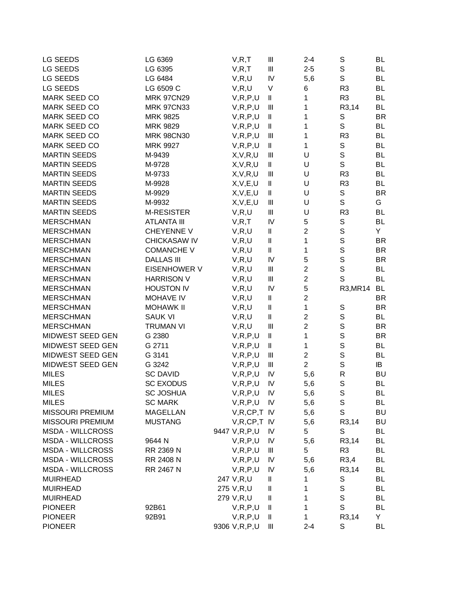| LG SEEDS                | LG 6369             | V, R, T          | Ш                                     | $2 - 4$        | S              | <b>BL</b> |
|-------------------------|---------------------|------------------|---------------------------------------|----------------|----------------|-----------|
| LG SEEDS                | LG 6395             | V, R, T          | Ш                                     | $2 - 5$        | $\mathbb S$    | BL        |
| LG SEEDS                | LG 6484             | V, R, U          | IV                                    | 5,6            | $\mathsf{S}$   | <b>BL</b> |
| LG SEEDS                | LG 6509 C           | V, R, U          | V                                     | 6              | R <sub>3</sub> | BL        |
| <b>MARK SEED CO</b>     | <b>MRK 97CN29</b>   | V, R, P, U       | Ш                                     | 1              | R <sub>3</sub> | BL        |
| MARK SEED CO            | <b>MRK 97CN33</b>   | V, R, P, U       | Ш                                     | 1              | R3,14          | <b>BL</b> |
| MARK SEED CO            | <b>MRK 9825</b>     | V, R, P, U       | Ш                                     | 1              | S              | <b>BR</b> |
| MARK SEED CO            | MRK 9829            | V, R, P, U       | Ш                                     | 1              | S              | BL        |
| MARK SEED CO            | <b>MRK 98CN30</b>   | V, R, P, U       | Ш                                     | 1              | R <sub>3</sub> | <b>BL</b> |
| MARK SEED CO            | <b>MRK 9927</b>     | V, R, P, U       | $\mathsf{I}\mathsf{I}$                | 1              | S              | BL        |
| <b>MARTIN SEEDS</b>     | M-9439              | X, V, R, U       | $\begin{array}{c} \hline \end{array}$ | U              | $\mathsf S$    | <b>BL</b> |
| <b>MARTIN SEEDS</b>     | M-9728              | X, V, R, U       | $\sf II$                              | U              | $\mathsf{S}$   | BL        |
| <b>MARTIN SEEDS</b>     | M-9733              | X, V, R, U       | $\mathbf{III}$                        | U              | R <sub>3</sub> | BL        |
| <b>MARTIN SEEDS</b>     | M-9928              | X, V, E, U       | Ш                                     | U              | R <sub>3</sub> | BL        |
| <b>MARTIN SEEDS</b>     | M-9929              | X, V, E, U       | Ш                                     | U              | S              | <b>BR</b> |
| <b>MARTIN SEEDS</b>     | M-9932              | X, V, E, U       | $\begin{array}{c} \Pi \end{array}$    | U              | S              | G         |
| <b>MARTIN SEEDS</b>     | <b>M-RESISTER</b>   | V, R, U          | $\mathbf{III}$                        | U              | R <sub>3</sub> | <b>BL</b> |
| <b>MERSCHMAN</b>        | <b>ATLANTA III</b>  | V, R, T          | IV                                    | 5              | S              | <b>BL</b> |
| <b>MERSCHMAN</b>        | CHEYENNE V          | V, R, U          | $\mathsf{I}\mathsf{I}$                | $\overline{c}$ | $\mathsf S$    | Y         |
| <b>MERSCHMAN</b>        | CHICKASAW IV        | V, R, U          | $\mathsf{I}\mathsf{I}$                | 1              | $\mathbb S$    | <b>BR</b> |
| <b>MERSCHMAN</b>        | <b>COMANCHE V</b>   | V, R, U          | $\mathsf{I}\mathsf{I}$                | 1              | $\mathsf S$    | <b>BR</b> |
| <b>MERSCHMAN</b>        | <b>DALLAS III</b>   | V, R, U          | IV                                    | 5              | $\mathsf S$    | <b>BR</b> |
| <b>MERSCHMAN</b>        | <b>EISENHOWER V</b> | V, R, U          | Ш                                     | $\overline{2}$ | $\mathsf S$    | <b>BL</b> |
| <b>MERSCHMAN</b>        | <b>HARRISON V</b>   | V, R, U          | $\mathbf{III}$                        | $\overline{2}$ | S              | <b>BL</b> |
| <b>MERSCHMAN</b>        | <b>HOUSTON IV</b>   | V, R, U          | IV                                    | 5              | R3, MR14       | BL        |
| <b>MERSCHMAN</b>        | MOHAVE IV           | V, R, U          | $\mathsf{I}\mathsf{I}$                | $\overline{2}$ |                | <b>BR</b> |
| <b>MERSCHMAN</b>        | <b>MOHAWK II</b>    | V, R, U          | $\mathsf{I}\mathsf{I}$                | $\mathbf{1}$   | ${\mathsf S}$  | <b>BR</b> |
| <b>MERSCHMAN</b>        | <b>SAUK VI</b>      | V, R, U          | $\sf II$                              | $\overline{2}$ | $\mathbb S$    | <b>BL</b> |
| <b>MERSCHMAN</b>        | <b>TRUMAN VI</b>    | V, R, U          | $\mathbf{  }$                         | $\overline{2}$ | $\mathsf S$    | <b>BR</b> |
| MIDWEST SEED GEN        | G 2380              | V, R, P, U       | Ш                                     | 1              | $\mathsf S$    | <b>BR</b> |
| MIDWEST SEED GEN        | G 2711              | V, R, P, U       | Ш                                     | 1              | $\mathbb S$    | <b>BL</b> |
| MIDWEST SEED GEN        | G 3141              | V, R, P, U       | Ш                                     | $\overline{2}$ | $\mathbf S$    | <b>BL</b> |
| MIDWEST SEED GEN        | G 3242              | V, R, P, U       | Ш                                     | $\overline{2}$ | $\mathsf S$    | IB        |
| <b>MILES</b>            | <b>SC DAVID</b>     | V, R, P, U       | IV                                    | 5,6            | ${\sf R}$      | <b>BU</b> |
| <b>MILES</b>            | <b>SC EXODUS</b>    | V, R, P, U       | IV                                    | 5,6            | $\mathbf S$    | <b>BL</b> |
| <b>MILES</b>            | <b>SC JOSHUA</b>    | V, R, P, U       | ${\sf IV}$                            | 5,6            | $\sim$<br>s    | BL        |
| <b>MILES</b>            | <b>SC MARK</b>      | V, R, P, U       | IV                                    | 5,6            | S              | BL        |
| <b>MISSOURI PREMIUM</b> | <b>MAGELLAN</b>     | $V, R, CP, T$ IV |                                       | 5,6            | $\mathbf S$    | BU        |
| MISSOURI PREMIUM        | <b>MUSTANG</b>      | $V, R, CP, T$ IV |                                       | 5,6            | R3,14          | <b>BU</b> |
| <b>MSDA - WILLCROSS</b> |                     | 9447 V, R, P, U  | IV                                    | 5              | S              | BL        |
| <b>MSDA - WILLCROSS</b> | 9644 N              | V, R, P, U       | IV                                    | 5,6            | R3,14          | BL        |
| <b>MSDA - WILLCROSS</b> | RR 2369 N           | V, R, P, U       | Ш                                     | 5              | R <sub>3</sub> | <b>BL</b> |
| <b>MSDA - WILLCROSS</b> | RR 2408 N           | V, R, P, U       | IV                                    | 5,6            | R3,4           | BL        |
| <b>MSDA - WILLCROSS</b> | RR 2467 N           | V, R, P, U       | IV                                    | 5,6            | R3,14          | BL        |
| <b>MUIRHEAD</b>         |                     | 247 V,R,U        | Ш                                     | 1              | S              | BL        |
| <b>MUIRHEAD</b>         |                     | 275 V,R,U        | Ш                                     | 1              | S              | BL        |
| <b>MUIRHEAD</b>         |                     | 279 V,R,U        | Ш                                     | 1              | S              | BL        |
| <b>PIONEER</b>          | 92B61               | V, R, P, U       | Ш                                     | 1              | S              | BL        |
| <b>PIONEER</b>          | 92B91               | V, R, P, U       | Ш                                     | 1              | R3,14          | Y.        |
| <b>PIONEER</b>          |                     | 9306 V, R, P, U  | Ш                                     | $2 - 4$        | S              | BL        |
|                         |                     |                  |                                       |                |                |           |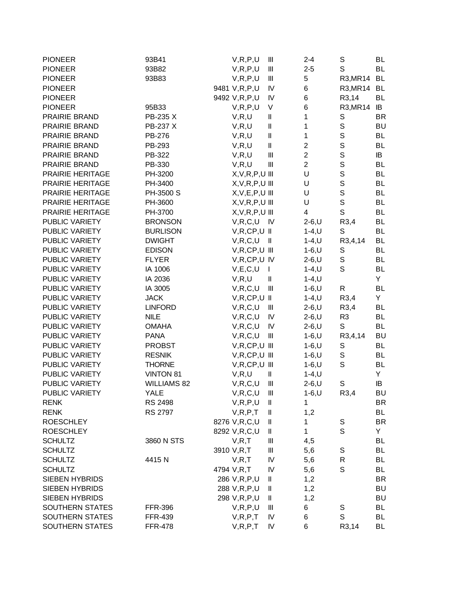| <b>PIONEER</b>        | 93B41              |                 |         | V, R, P, U          | Ш                                  | $2 - 4$        | S                 | <b>BL</b> |
|-----------------------|--------------------|-----------------|---------|---------------------|------------------------------------|----------------|-------------------|-----------|
| <b>PIONEER</b>        | 93B82              |                 |         | V, R, P, U          | $\mathbf{III}$                     | $2 - 5$        | S                 | BL        |
| <b>PIONEER</b>        | 93B83              |                 |         | V, R, P, U          | $\mathbf{III}$                     | 5              | R3, MR14          | <b>BL</b> |
| <b>PIONEER</b>        |                    | 9481 V, R, P, U |         |                     | $\mathsf{I}\mathsf{V}$             | 6              | R3, MR14          | <b>BL</b> |
| <b>PIONEER</b>        |                    | 9492 V, R, P, U |         |                     | IV                                 | 6              | R3,14             | BL        |
| <b>PIONEER</b>        | 95B33              |                 |         | V, R, P, U          | V                                  | 6              | R3, MR14          | IB        |
| PRAIRIE BRAND         | PB-235 X           |                 | V, R, U |                     | $\, \parallel$                     | 1              | S                 | <b>BR</b> |
| PRAIRIE BRAND         | PB-237 X           |                 | V, R, U |                     | $\, \parallel$                     | 1              | $\mathbb S$       | <b>BU</b> |
| PRAIRIE BRAND         | PB-276             |                 | V, R, U |                     | $\, \parallel$                     | 1              | $\mathsf S$       | BL        |
| PRAIRIE BRAND         | PB-293             |                 | V, R, U |                     | $\sf II$                           | $\overline{c}$ | $\mathbb S$       | BL        |
| PRAIRIE BRAND         | PB-322             |                 | V, R, U |                     | $\mathbf{III}$                     | $\overline{c}$ | $\mathsf{s}$      | IB        |
| PRAIRIE BRAND         | PB-330             |                 | V, R, U |                     | $\mathbf{III}$                     | $\overline{2}$ | $\mathsf S$       | BL        |
| PRAIRIE HERITAGE      | PH-3200            |                 |         | $X, V, R, P, U$ III |                                    | U              | $\mathsf{s}$      | BL        |
| PRAIRIE HERITAGE      | PH-3400            |                 |         | $X, V, R, P, U$ III |                                    | U              | $\mathsf S$       | <b>BL</b> |
| PRAIRIE HERITAGE      | PH-3500 S          |                 |         | $X, V, E, P, U$ III |                                    | U              | $\mathsf S$       | <b>BL</b> |
| PRAIRIE HERITAGE      | PH-3600            |                 |         | $X, V, R, P, U$ III |                                    | U              | $\mathsf{s}$      | <b>BL</b> |
| PRAIRIE HERITAGE      | PH-3700            |                 |         | $X, V, R, P, U$ III |                                    | 4              | $\mathsf S$       | BL        |
| PUBLIC VARIETY        | <b>BRONSON</b>     |                 |         | V, R, C, U          | - IV                               | $2-6, U$       | R3,4              | <b>BL</b> |
| PUBLIC VARIETY        | <b>BURLISON</b>    |                 |         | $V, R, CP, U$ II    |                                    | $1 - 4, U$     | S                 | <b>BL</b> |
| PUBLIC VARIETY        | <b>DWIGHT</b>      |                 |         | V, R, C, U          | $\, \parallel$                     | $1 - 4, U$     | R3,4,14           | <b>BL</b> |
| PUBLIC VARIETY        | <b>EDISON</b>      |                 |         | $V, R, CP, U$ III   |                                    | $1 - 6, U$     | S                 | BL        |
| PUBLIC VARIETY        | <b>FLYER</b>       |                 |         | V, R, CP, U IV      |                                    | $2-6, U$       | $\mathbb S$       | <b>BL</b> |
| PUBLIC VARIETY        | IA 1006            |                 |         | V, E, C, U          | T                                  | $1 - 4, U$     | $\mathsf{S}$      | <b>BL</b> |
| PUBLIC VARIETY        | IA 2036            |                 |         | V, R, U             | $\ensuremath{\mathsf{II}}$         | $1 - 4, U$     |                   | Y.        |
| PUBLIC VARIETY        | IA 3005            |                 |         | V, R, C, U          | $\mathbf{III}$                     | $1 - 6, U$     | R                 | BL        |
| PUBLIC VARIETY        | <b>JACK</b>        |                 |         | $V, R, CP, U$ II    |                                    | $1 - 4, U$     | R3,4              | Y.        |
| PUBLIC VARIETY        | <b>LINFORD</b>     |                 |         | V, R, C, U          | Ш                                  | $2 - 6, U$     | R3,4              | BL        |
| PUBLIC VARIETY        | <b>NILE</b>        |                 |         | V, R, C, U          | IV                                 | $2-6, U$       | R <sub>3</sub>    | BL        |
| PUBLIC VARIETY        | <b>OMAHA</b>       |                 |         | V, R, C, U          | IV                                 | $2-6, U$       | $\mathbf S$       | <b>BL</b> |
| PUBLIC VARIETY        | <b>PANA</b>        |                 |         | V, R, C, U          | $\ensuremath{\mathsf{III}}\xspace$ | $1-6, U$       | R3,4,14           | <b>BU</b> |
| PUBLIC VARIETY        | <b>PROBST</b>      |                 |         | $V, R, CP, U$ III   |                                    | $1 - 6, U$     | $\mathbb S$       | <b>BL</b> |
| PUBLIC VARIETY        | <b>RESNIK</b>      |                 |         | $V, R, CP, U$ III   |                                    | $1 - 6, U$     | $\mathbb S$       | <b>BL</b> |
| PUBLIC VARIETY        | <b>THORNE</b>      |                 |         | $V, R, CP, U$ III   |                                    | $1 - 6, U$     | $\mathsf S$       | BL        |
| PUBLIC VARIETY        | <b>VINTON 81</b>   |                 | V, R, U |                     | $\mathbf l$                        |                |                   | Y.        |
| PUBLIC VARIETY        |                    |                 |         |                     |                                    | $1 - 4, U$     |                   |           |
|                       | <b>WILLIAMS 82</b> |                 |         | V, R, C, U          | $\mathbf{III}$                     | $2-6, U$       | S                 | IB        |
| PUBLIC VARIETY        | YALE               |                 |         | V,R,C,U             | Ш                                  | 1-6,U          | R <sub>3</sub> ,4 | <b>BU</b> |
| <b>RENK</b>           | <b>RS 2498</b>     |                 |         | V, R, P, U          | Ш                                  | 1              |                   | <b>BR</b> |
| <b>RENK</b>           | RS 2797            |                 |         | V, R, P, T          | Ш                                  | 1,2            |                   | <b>BL</b> |
| <b>ROESCHLEY</b>      |                    |                 |         | 8276 V,R,C,U        | Ш                                  | 1              | S                 | <b>BR</b> |
| <b>ROESCHLEY</b>      |                    | 8292 V,R,C,U    |         |                     | $\, \parallel$                     | 1              | S                 | Y.        |
| <b>SCHULTZ</b>        | 3860 N STS         |                 | V, R, T |                     | Ш                                  | 4,5            |                   | BL        |
| <b>SCHULTZ</b>        |                    | 3910 V,R,T      |         |                     | Ш                                  | 5,6            | S                 | <b>BL</b> |
| <b>SCHULTZ</b>        | 4415N              |                 | V, R, T |                     | IV                                 | 5,6            | R                 | BL        |
| <b>SCHULTZ</b>        |                    | 4794 V,R,T      |         |                     | IV                                 | 5,6            | S                 | BL        |
| SIEBEN HYBRIDS        |                    |                 |         | 286 V, R, P, U      | Ш                                  | 1,2            |                   | <b>BR</b> |
| SIEBEN HYBRIDS        |                    |                 |         | 288 V, R, P, U      | Ш                                  | 1,2            |                   | BU        |
| <b>SIEBEN HYBRIDS</b> |                    |                 |         | 298 V, R, P, U      | Ш                                  | 1,2            |                   | <b>BU</b> |
| SOUTHERN STATES       | <b>FFR-396</b>     |                 |         | V, R, P, U          | Ш                                  | 6              | $\mathbb S$       | BL        |
| SOUTHERN STATES       | <b>FFR-439</b>     |                 |         | V, R, P, T          | IV                                 | 6              | $\mathsf S$       | BL        |
| SOUTHERN STATES       | <b>FFR-478</b>     |                 |         | V, R, P, T          | IV                                 | 6              | R3,14             | BL        |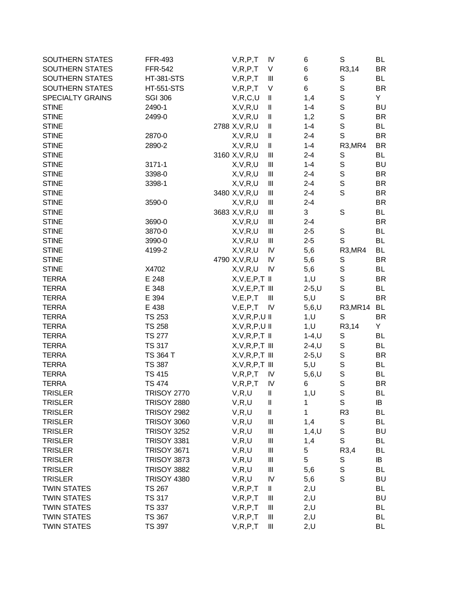| SOUTHERN STATES         | <b>FFR-493</b>     | V, R, P, T          | IV                                 | 6          | S                                | BL        |
|-------------------------|--------------------|---------------------|------------------------------------|------------|----------------------------------|-----------|
| SOUTHERN STATES         | <b>FFR-542</b>     | V, R, P, T          | V                                  | 6          | R3,14                            | <b>BR</b> |
| SOUTHERN STATES         | <b>HT-381-STS</b>  | V, R, P, T          | Ш                                  | 6          | S                                | BL        |
| SOUTHERN STATES         | <b>HT-551-STS</b>  | V, R, P, T          | $\vee$                             | 6          | $\mathbb S$                      | BR        |
| <b>SPECIALTY GRAINS</b> | <b>SGI 306</b>     | V, R, C, U          | Ш                                  | 1,4        | $\mathbf S$                      | Y.        |
| <b>STINE</b>            | 2490-1             | X, V, R, U          | Ш                                  | $1 - 4$    | S                                | <b>BU</b> |
| <b>STINE</b>            | 2499-0             | X, V, R, U          | Ш                                  | 1,2        | $\mathsf S$                      | <b>BR</b> |
| <b>STINE</b>            |                    | 2788 X, V, R, U     | Ш                                  | $1 - 4$    | $\mathsf S$                      | BL        |
| <b>STINE</b>            | 2870-0             | X, V, R, U          | $\mathbf{  }$                      | $2 - 4$    | $\mathsf{S}$                     | <b>BR</b> |
| <b>STINE</b>            | 2890-2             | X, V, R, U          | II                                 | $1 - 4$    | R3, MR4                          | <b>BR</b> |
| <b>STINE</b>            |                    | 3160 X, V, R, U     | Ш                                  | $2 - 4$    | S                                | <b>BL</b> |
| <b>STINE</b>            | 3171-1             | X, V, R, U          | $\begin{array}{c} \Pi \end{array}$ | $1 - 4$    | $\mathbf S$                      | <b>BU</b> |
| <b>STINE</b>            | 3398-0             | X, V, R, U          | Ш                                  | $2 - 4$    | $\mathbf S$                      | <b>BR</b> |
| <b>STINE</b>            | 3398-1             | X, V, R, U          | Ш                                  | $2 - 4$    | $\mathbb S$                      | <b>BR</b> |
| <b>STINE</b>            |                    | 3480 X, V, R, U     | Ш                                  | $2 - 4$    | $\mathsf S$                      | <b>BR</b> |
| <b>STINE</b>            | 3590-0             | X, V, R, U          | Ш                                  | $2 - 4$    |                                  | BR        |
| <b>STINE</b>            |                    | 3683 X, V, R, U     | Ш                                  | 3          | S                                | <b>BL</b> |
| <b>STINE</b>            | 3690-0             | X, V, R, U          | Ш                                  | $2 - 4$    |                                  | <b>BR</b> |
| <b>STINE</b>            | 3870-0             | X, V, R, U          | Ш                                  | $2 - 5$    | S                                | <b>BL</b> |
| <b>STINE</b>            | 3990-0             | X, V, R, U          | Ш                                  | $2 - 5$    | S                                | <b>BL</b> |
| <b>STINE</b>            | 4199-2             | X, V, R, U          | IV                                 | 5,6        | R <sub>3</sub> , MR <sub>4</sub> | BL        |
| <b>STINE</b>            |                    | 4790 X, V, R, U     | IV                                 | 5,6        | S                                | <b>BR</b> |
| <b>STINE</b>            | X4702              | X, V, R, U          | IV                                 | 5,6        | $\mathbb S$                      | <b>BL</b> |
| <b>TERRA</b>            | E 248              | $X, V, E, P, T$ II  |                                    | 1, U       | $\mathbb S$                      | BR        |
| <b>TERRA</b>            | E 348              | $X, V, E, P, T$ III |                                    | $2 - 5, U$ | $\mathsf S$                      | BL        |
| <b>TERRA</b>            | E 394              | V, E, P, T          | Ш                                  | 5, U       | $\mathbb S$                      | <b>BR</b> |
| <b>TERRA</b>            | E 438              | V, E, P, T          | IV                                 | $5,6,$ U   | R3, MR14                         | BL        |
| <b>TERRA</b>            | <b>TS 253</b>      | $X, V, R, P, U$ II  |                                    |            | S                                | <b>BR</b> |
| <b>TERRA</b>            | <b>TS 258</b>      |                     |                                    | 1, U       | R3,14                            | Y         |
| <b>TERRA</b>            | <b>TS 277</b>      | $X, V, R, P, U$ II  |                                    | 1, U       |                                  | <b>BL</b> |
|                         |                    | $X, V, R, P, T$ II  |                                    | $1 - 4, U$ | S                                |           |
| <b>TERRA</b>            | <b>TS 317</b>      | $X, V, R, P, T$ III |                                    | $2-4, U$   | $\mathbb S$                      | <b>BL</b> |
| <b>TERRA</b>            | TS 364 T           | $X, V, R, P, T$ III |                                    | $2 - 5, U$ | $\mathbb S$                      | BR        |
| <b>TERRA</b>            | <b>TS 387</b>      | $X, V, R, P, T$ III |                                    | 5, U       | $\mathsf S$                      | <b>BL</b> |
| <b>TERRA</b>            | <b>TS 415</b>      | V, R, P, T          | IV                                 | $5,6,$ U   | $\mathbf S$                      | <b>BL</b> |
| <b>TERRA</b>            | <b>TS 474</b>      | V, R, P, T          | IV                                 | 6          | S                                | <b>BR</b> |
| TRISLER                 | TRISOY 2770        | V,R,U               | Ш                                  | 1,U        | S                                | BL        |
| <b>TRISLER</b>          | <b>TRISOY 2880</b> | V, R, U             | Ш                                  | 1          | $\mathbb S$                      | IB        |
| <b>TRISLER</b>          | <b>TRISOY 2982</b> | V, R, U             | II                                 | 1          | R <sub>3</sub>                   | <b>BL</b> |
| <b>TRISLER</b>          | <b>TRISOY 3060</b> | V, R, U             | $\parallel \parallel$              | 1,4        | S                                | BL        |
| <b>TRISLER</b>          | <b>TRISOY 3252</b> | V, R, U             | $\parallel \parallel$              | $1,4,$ U   | $\mathbb S$                      | <b>BU</b> |
| <b>TRISLER</b>          | <b>TRISOY 3381</b> | V, R, U             | $\parallel \parallel$              | 1,4        | $\mathsf S$                      | BL        |
| <b>TRISLER</b>          | <b>TRISOY 3671</b> | V, R, U             | $\ensuremath{\mathsf{III}}\xspace$ | 5          | R3,4                             | BL        |
| <b>TRISLER</b>          | <b>TRISOY 3873</b> | V, R, U             | $\ensuremath{\mathsf{III}}\xspace$ | 5          | S                                | IB        |
| <b>TRISLER</b>          | <b>TRISOY 3882</b> | V, R, U             | $\ensuremath{\mathsf{III}}\xspace$ | 5,6        | $\mathbf S$                      | BL        |
| <b>TRISLER</b>          | <b>TRISOY 4380</b> | V, R, U             | IV                                 | 5,6        | S                                | <b>BU</b> |
| <b>TWIN STATES</b>      | <b>TS 267</b>      | V, R, P, T          | Ш                                  | 2, U       |                                  | BL        |
| <b>TWIN STATES</b>      | <b>TS 317</b>      | V, R, P, T          | Ш                                  | 2, U       |                                  | <b>BU</b> |
| <b>TWIN STATES</b>      | <b>TS 337</b>      | V, R, P, T          | Ш                                  | 2, U       |                                  | BL        |
| <b>TWIN STATES</b>      | <b>TS 367</b>      | V, R, P, T          | Ш                                  | 2, U       |                                  | BL        |
| <b>TWIN STATES</b>      | <b>TS 397</b>      | V, R, P, T          | $\parallel \parallel$              | 2, U       |                                  | BL        |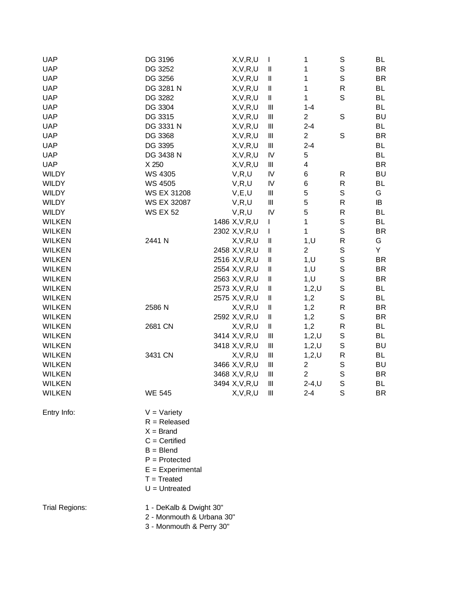| <b>UAP</b>    | DG 3196              | X, V, R, U      | I                                     | 1              | S           | BL        |
|---------------|----------------------|-----------------|---------------------------------------|----------------|-------------|-----------|
| <b>UAP</b>    | DG 3252              | X, V, R, U      | $\mathsf{I}\mathsf{I}$                | 1              | $\mathbf S$ | <b>BR</b> |
| <b>UAP</b>    | DG 3256              | X, V, R, U      | Ш                                     | 1              | $\mathbf S$ | <b>BR</b> |
| <b>UAP</b>    | DG 3281 N            | X, V, R, U      | Ш                                     | 1              | $\mathsf R$ | <b>BL</b> |
| <b>UAP</b>    | DG 3282              | X, V, R, U      | Ш                                     | 1              | S           | <b>BL</b> |
| <b>UAP</b>    | DG 3304              | X, V, R, U      | $\begin{array}{c} \hline \end{array}$ | $1 - 4$        |             | <b>BL</b> |
| <b>UAP</b>    | DG 3315              | X, V, R, U      | $\begin{array}{c} \hline \end{array}$ | $\overline{c}$ | $\mathbb S$ | BU        |
| <b>UAP</b>    | DG 3331 N            | X, V, R, U      | $\begin{array}{c} \hline \end{array}$ | $2 - 4$        |             | BL        |
| <b>UAP</b>    | DG 3368              | X, V, R, U      | $\begin{array}{c} \hline \end{array}$ | $\overline{c}$ | $\mathbf S$ | <b>BR</b> |
| <b>UAP</b>    | DG 3395              | X, V, R, U      | $\ensuremath{\mathsf{III}}\xspace$    | $2 - 4$        |             | <b>BL</b> |
| <b>UAP</b>    | DG 3438 N            | X, V, R, U      | IV                                    | 5              |             | <b>BL</b> |
| <b>UAP</b>    | X 250                | X, V, R, U      | Ш                                     | 4              |             | <b>BR</b> |
| <b>WILDY</b>  | <b>WS 4305</b>       | V, R, U         | IV                                    | 6              | R           | BU        |
| <b>WILDY</b>  | WS 4505              | V, R, U         | IV                                    | 6              | ${\sf R}$   | <b>BL</b> |
| <b>WILDY</b>  | <b>WS EX 31208</b>   | V, E, U         | $\ensuremath{\mathsf{III}}\xspace$    | $\mathbf 5$    | $\mathbb S$ | G         |
| <b>WILDY</b>  | <b>WS EX 32087</b>   | V, R, U         | Ш                                     | $\mathbf 5$    | ${\sf R}$   | IB        |
| <b>WILDY</b>  | <b>WS EX 52</b>      | V, R, U         | IV                                    | 5              | ${\sf R}$   | <b>BL</b> |
| <b>WILKEN</b> |                      | 1486 X, V, R, U | T                                     | 1              | $\mathbb S$ | <b>BL</b> |
| <b>WILKEN</b> |                      | 2302 X, V, R, U | T                                     | 1              | $\mathbf S$ | <b>BR</b> |
| <b>WILKEN</b> | 2441 N               | X, V, R, U      | Ш                                     | 1, U           | R           | G         |
| <b>WILKEN</b> |                      | 2458 X, V, R, U | Ш                                     | $\overline{2}$ | $\mathbb S$ | Y         |
| <b>WILKEN</b> |                      | 2516 X, V, R, U | Ш                                     | 1, U           | $\mathsf S$ | BR        |
| <b>WILKEN</b> |                      | 2554 X, V, R, U | $\mathop{  }$                         | 1, U           | S           | BR        |
| <b>WILKEN</b> |                      | 2563 X, V, R, U | Ш                                     | 1, U           | $\mathbb S$ | BR        |
| <b>WILKEN</b> |                      | 2573 X, V, R, U | Ш                                     | 1,2,U          | $\mathbf S$ | <b>BL</b> |
| <b>WILKEN</b> |                      | 2575 X, V, R, U | Ш                                     | 1,2            | $\mathbf S$ | <b>BL</b> |
| <b>WILKEN</b> | 2586 N               | X, V, R, U      | $\mathop{  }$                         | 1,2            | ${\sf R}$   | <b>BR</b> |
| <b>WILKEN</b> |                      | 2592 X, V, R, U | Ш                                     | 1,2            | $\mathbb S$ | <b>BR</b> |
| <b>WILKEN</b> | 2681 CN              | X, V, R, U      | Ш                                     | 1,2            | R           | <b>BL</b> |
| <b>WILKEN</b> |                      | 3414 X, V, R, U | $\parallel \parallel$                 | 1,2,U          | $\mathbb S$ | <b>BL</b> |
| <b>WILKEN</b> |                      | 3418 X, V, R, U | $\begin{array}{c} \hline \end{array}$ | $1,2,$ U       | $\mathbb S$ | <b>BU</b> |
| <b>WILKEN</b> | 3431 CN              | X, V, R, U      | Ш                                     | $1,2,$ U       | ${\sf R}$   | <b>BL</b> |
| <b>WILKEN</b> |                      | 3466 X, V, R, U | Ш                                     | $\overline{c}$ | $\mathbb S$ | BU        |
| <b>WILKEN</b> |                      | 3468 X, V, R, U | Ш                                     | $\overline{2}$ | $\mathbf S$ | <b>BR</b> |
| <b>WILKEN</b> |                      | 3494 X, V, R, U | $\begin{array}{c} \Pi \end{array}$    | $2-4, U$       | S           | <b>BL</b> |
| <b>WILKEN</b> | <b>WE 545</b>        | X,V,R,U         | Ш                                     | $2 - 4$        | S           | BR        |
|               |                      |                 |                                       |                |             |           |
| Entry Info:   | $V = \text{Variety}$ |                 |                                       |                |             |           |
|               | $R =$ Released       |                 |                                       |                |             |           |
|               | $X = Brand$          |                 |                                       |                |             |           |
|               | $C =$ Certified      |                 |                                       |                |             |           |
|               | $B = B$ lend         |                 |                                       |                |             |           |
|               | $P =$ Protected      |                 |                                       |                |             |           |
|               | $E = Experimental$   |                 |                                       |                |             |           |
|               | $T = Treated$        |                 |                                       |                |             |           |
|               | $U =$ Untreated      |                 |                                       |                |             |           |
|               |                      |                 |                                       |                |             |           |

Trial Regions: 1 - DeKalb & Dwight 30"

2 - Monmouth & Urbana 30"

3 - Monmouth & Perry 30"